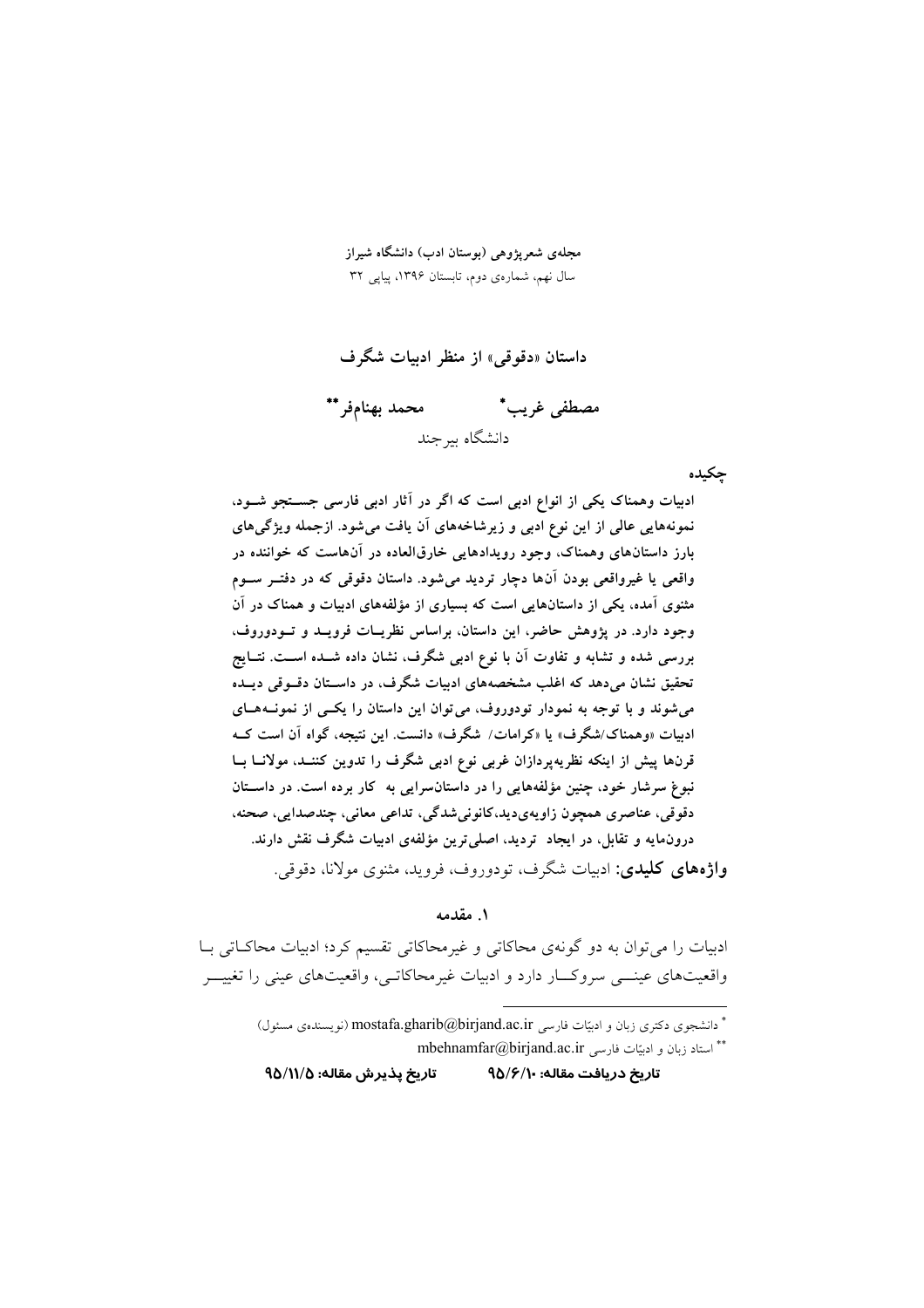مجلهی شعریژوهی (بوستان ادب) دانشگاه شیراز سال نهم، شمارهی دوم، تابستان ۱۳۹۶، پیاپی ۳۲

داستان «دقوقي» از منظر ادبيات شگرف

محمد بهنامفر\*\* مصطفى غريب\* دانشگاه سرجند

حكىدە

ادبیات وهمناک یکی از انواع ادبی است که اگر در آثار ادبی فارسی جستجو شود. نمونههایی عالی از این نوع ادبی و زیرشاخههای آن یافت میشود. ازجمله ویژگم های بارز داستانهای وهمناک، وجود رویدادهایی خارقالعاده در آنهاست که خواننده در واقعی یا غیرواقعی بودن آنها دچار تردید میشود. داستان دقوقی که در دفتـر سـوم مثنوی آمده، یکی از داستانهایی است که بسیاری از مؤلفههای ادبیات و همناک در آن وجود دارد. در پژوهش حاضر، این داستان، براساس نظریـات فرویـد و تـودوروف، بررسی شده و تشابه و تفاوت آن با نوع ادبی شگرف، نشان داده شــده اســت. نتــایج تحقیق نشان میدهد که اغلب مشخصههای ادبیات شگرف، در داسـتان دقــوقی دیــده می شوند و با توجه به نمودار تودوروف، می توان این داستان را یکبی از نمونـههـای ادبیات «وهمناک/شگرف» یا «کرامات/ شگرف» دانست. این نتیجه، گواه آن است کــه قرنها پیش از اینکه نظریه پردازان غربی نوع ادبی شگرف را تدوین کننـد، مولانــا بــا نبوغ سرشار خود، چنین مؤلفههایی را در داستان سرایی به کار برده است. در داستان دقوقی، عناصری همچون زاویهیدید،کانونیشدگی، تداعی معانی، چندصدایی، صحنه، درونءایه و تقابل، در ایجاد تردید، اصلی ترین مؤلفهی ادبیات شگرف نقش دارند. و**اژههای کلیدی:** ادبیات شگرف، تودوروف، فروید، مثنوی مولانا، دقوقی.

۱. مقدمه

ادبیات را می توان به دو گونهی محاکاتی و غیرمحاکاتی تقسیم کرد؛ ادبیات محاکـاتی بــا واقعیتهای عینـــی سروکـــار دارد و ادبیات غیرمحاکاتــی، واقعیتهای عینی را تغییـــر

تاريخ پذيرش مقاله: ٥/١١/٥ تاريخ دريافت مقاله: ٩٥/۶/١٠

<sup>\*</sup> دانشجوی دکتری زبان و ادبیّات فارسی mostafa.gharib@birjand.ac.ir (نویسندهی مسئول) \*\* استاد زبان و ادبيّات فارسي mbehnamfar@birjand.ac.ir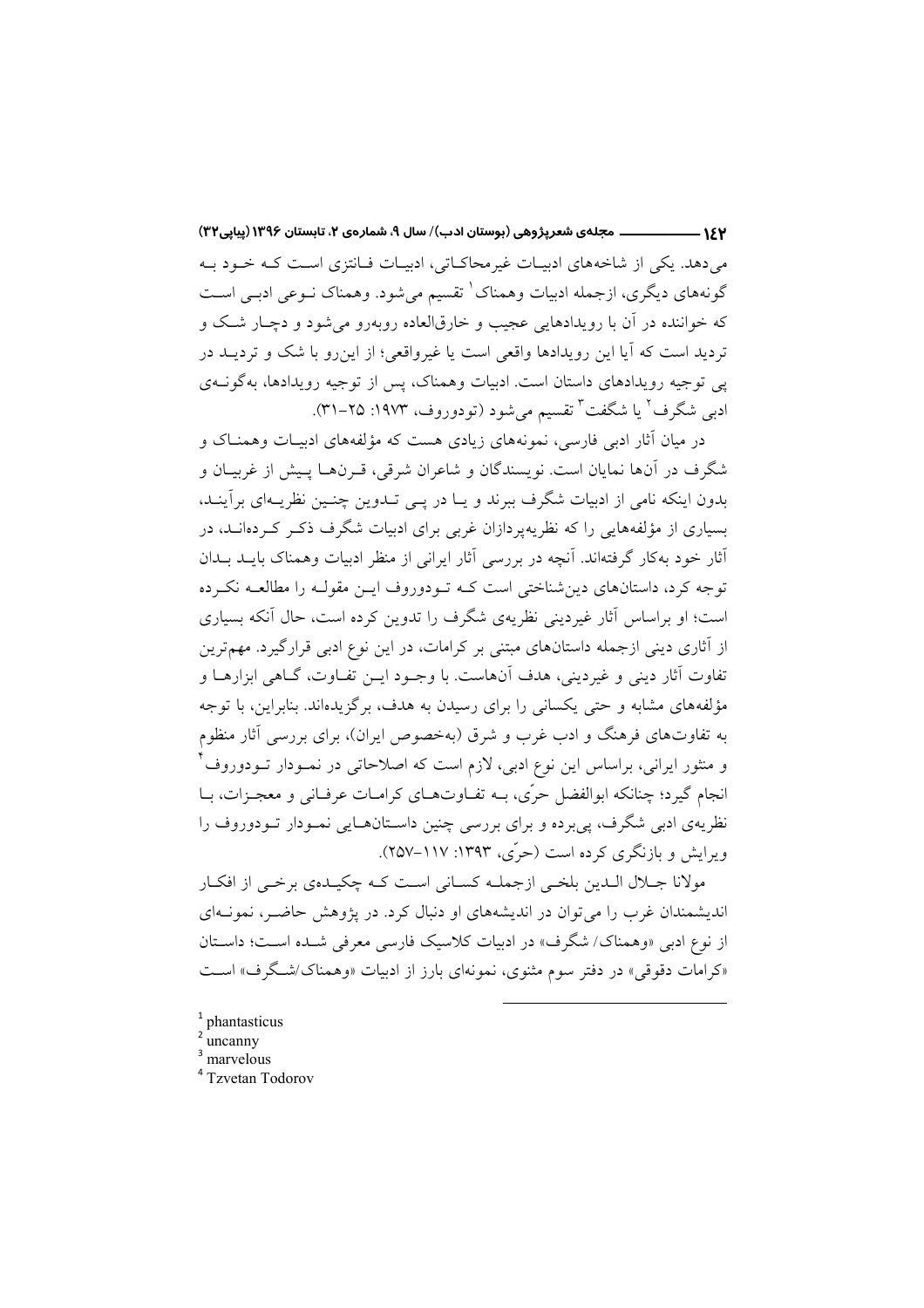ــــ مجلهي شعرپژوهي (بوستان ادب)/ سال ۹، شمارهي ۲، تابستان ۱۳۹۶ (پیاپی۳۲)  $-154$ می دهد. یکی از شاخههای ادبیـات غیرمحاکـاتی، ادبیـات فـانتزی اسـت کـه خـود بـه گونههای دیگری، ازجمله ادبیات وهمناک ٰ تقسیم میشود. وهمناک نـوعی ادبـی اسـت که خواننده در آن با رویدادهایی عجیب و خارقالعاده روبهرو می شود و دچـار شـک و تردید است که آیا این رویدادها واقعی است یا غیرواقعی؛ از این رو با شک و تردیــد در یی توجیه رویدادهای داستان است. ادبیات وهمناک، پس از توجیه رویدادها، بهگونــهی ادبی شگرف<sup>۲</sup> یا شگفت<sup>۳</sup> تقسیم میشود (تودوروف، ۱۹۷۳: ۲۵–۳۱).

در میان آثار ادبی فارسی، نمونههای زیادی هست که مؤلفههای ادیبات وهمنـاک و شگرف در آنها نمایان است. نویسندگان و شاعران شرقی، قـرنهـا پـیش از غربیـان و بدون اینکه نامی از ادبیات شگرف ببرند و یـا در یـی تـدوین چنـین نظریـهای برآینـد، بسیاری از مؤلفههایی را که نظریهپردازان غربی برای ادبیات شگرف ذکـر کـردهانـد، در أثار خود بهکار گرفتهاند. آنچه در بررسی أثار ایرانی از منظر ادبیات وهمناک بایــد بــدان توجه کرد، داستانهای دینشناختی است کـه تـودوروف ایـن مقولـه را مطالعـه نکـرده است؛ او براساس آثار غیردینی نظریهی شگرف را تدوین کرده است، حال آنکه بسیاری از آثاری دینی ازجمله داستانهای مبتنی بر کرامات، در این نوع ادبی قرارگیرد. مهمترین تفاوت آثار ديني و غيرديني، هدف آنهاست. با وجـود ايــن تفــاوت، گــاهي ابزارهــا و مؤلفههای مشابه و حتی یکسانی را برای رسیدن به هدف، برگزیدهاند. بنابراین، با توجه به تفاوتهای فرهنگ و ادب غرب و شرق (بهخصوص ایران)، برای بررسی آثار منظوم و منثور ایرانی، براساس این نوع ادبی، لازم است که اصلاحاتی در نمـودار تـودوروف ٌ انجام گیرد؛ چنانکه ابوالفضل حرّی، بــه تفــاوتهــای کرامــات عرفــانی و معجــزات، بــا نظریهی ادبی شگرف، یی برده و برای بررسی چنین داسـتانهــایی نمـودار تــودوروف را وبرایش و بازنگری کرده است (حرّی، ۱۳۹۳: ۱۱۷–۲۵۷).

مولانا جـلال الـدين بلخـي ازجملـه كسـاني اسـت كـه چكيـدهي برخـي از افكـار اندیشمندان غرب را می توان در اندیشههای او دنبال کرد. در پژوهش حاضـر، نمونــهای از نوع ادبی «وهمناک/ شگرف» در ادبیات کلاسیک فارسی معرفی شـده اسـت؛ داسـتان «کرامات دقوقی» در دفتر سوم مثنوی، نمونهای بارز از ادبیات «وهمناک/شـگرف» اسـت

 $1$  phantasticus

uncanny

- marvelous
- <sup>4</sup> Tzvetan Todorov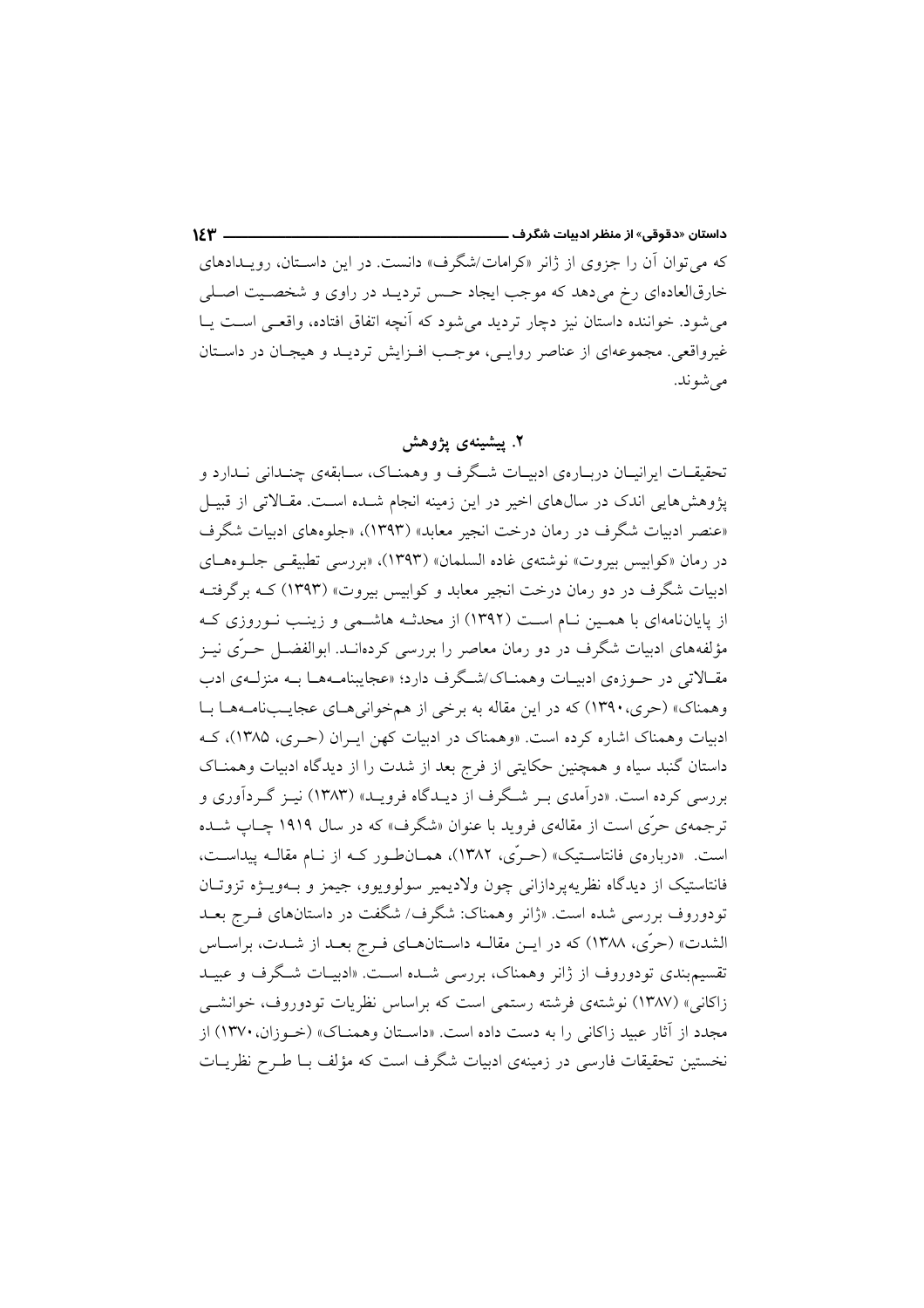که می توان آن را جزوی از ژانر «کرامات/شگرف» دانست. در این داسـتان، رویـدادهای خارقالعادهای رخ میدهد که موجب ایجاد حس تردیـد در راوی و شخصـیت اصـلی می شود. خواننده داستان نیز دچار تردید می شود که آنچه اتفاق افتاده، واقعـی اسـت یـا غیرواقعی. مجموعهای از عناصر روایـی، موجـب افـزایش تردیـد و هیجـان در داسـتان مي شو ند.

۲. پیشینهی یژوهش

تحقیقـات ایرانیـان دربـارهی ادبیـات شـگرف و وهمنـاک، سـابقهی چنـدانی نـدارد و یژوهشهایی اندک در سالهای اخیر در این زمینه انجام شـده اسـت. مقـالاتی از قبیـل «عنصر ادبیات شگرف در رمان درخت انجیر معابد» (۱۳۹۳)، «جلوههای ادبیات شگرف در رمان «كوابيس بيروت» نوشتهي غاده السلمان» (١٣٩٣)، «بررسي تطبيقي جلـوههـاي ادبیات شگرف در دو رمان درخت انجیر معابد و کوابیس بیروت» (۱۳۹۳) کـه برگرفتــه از پایاننامهای با همین نـام اسـت (۱۳۹۲) از محدثـه هاشـمی و زینـب نـوروزی کـه مؤلفههای ادبیات شگرف در دو رمان معاصر را بررسی کردهانــد. ابوالفضــل حــرّی نیــز مقـالاتي در حـوزهي ادبيـات وهمنـاک/شـگرف دارد؛ «عجايبنامـههـا بــه منزلــهي ادب وهمناک» (حری، ۱۳۹۰) که در این مقاله به برخی از همخوانی هیای عجایب نامیهها بیا ادبیات وهمناک اشاره کرده است. «وهمناک در ادبیات کهن ایـران (حـری، ۱۳۸۵)، کـه داستان گنبد سیاه و همچنین حکایتی از فرج بعد از شدت را از دیدگاه ادبیات وهمنـاک بررسی کرده است. «درآمدی بـر شـگرف از دیـدگاه فرویـد» (۱۳۸۳) نیـز گـردآوری و ترجمهی حرّی است از مقالهی فروید با عنوان «شگرف» که در سال ۱۹۱۹ چـاپ شـده است. «دربارهی فانتاسـتیک» (حـرّی، ۱۳۸۲)، همـان طـور کـه از نـام مقالـه پیداسـت، فانتاستیک از دیدگاه نظریهپردازانی چون ولادیمیر سولوویوو، جیمز و بـهویـژه تزوتـان تودوروف بررسی شده است. «ژانر وهمناک: شگرف/ شگفت در داستانهای فـرج بعــد الشدت» (حرّى، ١٣٨٨) كه در ايـن مقالـه داسـتانهــاي فـرج بعــد از شــدت، براســاس تقسیم بندی تودوروف از ژانر وهمناک، بررسی شـده اسـت. «ادبیـات شـگرف و عبیـد زاكانی» (۱۳۸۷) نوشتهی فرشته رستمی است كه براساس نظریات تودوروف، خوانشــی مجدد از آثار عبید زاکانی را به دست داده است. «داسـتان و همنــاک» (خــوزان، ۱۳۷۰) از نخستین تحقیقات فارسی در زمینهی ادبیات شگرف است که مؤلف بـا طـرح نظریــات

 $YY -$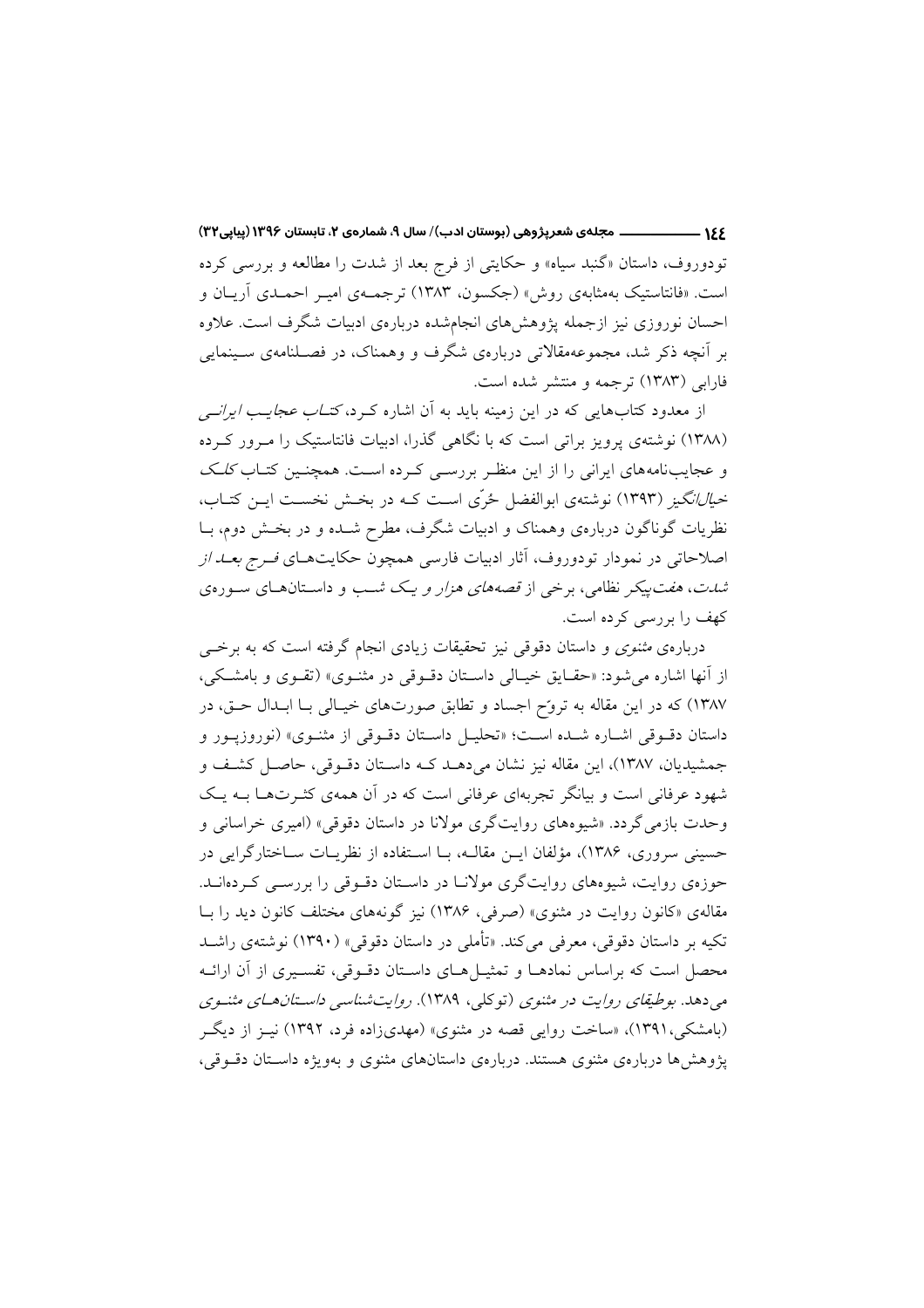تودوروف، داستان «گنبد سیاه» و حکایتی از فرج بعد از شدت را مطالعه و بررسی کرده است. «فانتاستیک بهمثابهی روش» (جکسون، ۱۳۸۳) ترجمهی امیـر احمـدی آریـان و احسان نوروزی نیز ازجمله پژوهشهای انجامشده دربارهی ادبیات شگرف است. علاوه بر اّنچه ذکر شد، مجموعهمقالاتی دربارهی شگرف و وهمناک، در فصـلنامهی سـینمایی فارابی (۱۳۸۳) ترجمه و منتشر شده است.

از معدود کتابهایی که در این زمینه باید به آن اشاره کـرد، *کتـاب عجایـب ایرانــی* (۱۳۸۸) نوشتهی پرویز براتی است که با نگاهی گذرا، ادبیات فانتاستیک را مـرور کـرده و عجایبنامههای ایرانی را از این منظر بررسـی کـرده اسـت. همچنـین کتـاب *کلـک خبالانگیز (*۱۳۹۳) نوشتهی ابوالفضل ځرّی است کـه در بخـش نخسـت ایـن کتـاب، نظریات گوناگون دربارهی وهمناک و ادبیات شگرف، مطرح شــده و در بخــش دوم، بــا اصلاحاتی در نمودار تودوروف، آثار ادبیات فارسی همچون حکایتهـای *فـرج بعــد از شدت*، *هفت پیک*ر نظامی، برخی از قصههای هز*ار و یک ش*ب و داستانهای سورهی كهف را بررسي كرده است.

دربارهی مثنوی و داستان دقوقی نیز تحقیقات زیادی انجام گرفته است که به برخبی از آنها اشاره می شود: «حقایق خیـالی داسـتان دقـوقی در مثنـوی» (تقـوی و بامشـکی، ۱۳۸۷) که در این مقاله به تروّح اجساد و تطابق صورتهای خیـالی بـا ابـدال حـق، در داستان دقبوقی اشباره شبه است؛ «تحليـل داسـتان دقبوقی از مثنـوی» (نوروزيبور و جمشیدیان، ۱۳۸۷)، این مقاله نیز نشان می دهـد کـه داسـتان دقـوقی، حاصـل کشـف و شهود عرفانی است و بیانگر تجربهای عرفانی است که در آن همهی کثـرتهـا بـه یـک وحدت بازمی گردد. «شیوههای روایتگری مولانا در داستان دقوقی» (امیری خراسانی و حسینی سروری، ۱۳۸۶)، مؤلفان ایــن مقالــه، بــا اســتفاده از نظریــات ســاختارگرایی در حوزهی روایت، شیوههای روایتگری مولانـا در داسـتان دقـوقی را بررسـی کـردهانــد. مقالهی «کانون روایت در مثنوی» (صرفی، ۱۳۸۶) نیز گونههای مختلف کانون دید را بـا تکیه بر داستان دقوقی، معرفی می کند. «تأملی در داستان دقوقی» (۱۳۹۰) نوشتهی راشـد محصل است که براساس نمادهــا و تمثيــل هــاي داســتان دقــوقي، تفســيري از آن ارائــه می دهد. بوطیقای روایت در مثنوی (توکلی، ۱۳۸۹). روایتشناسی داستان های مثنوی (بامشکی،۱۳۹۱)، «ساخت روایی قصه در مثنوی» (مهدیزاده فرد، ۱۳۹۲) نیـز از دیگـر یژوهش ها دربارهی مثنوی هستند. دربارهی داستانهای مثنوی و بهویژه داستان دقوقی،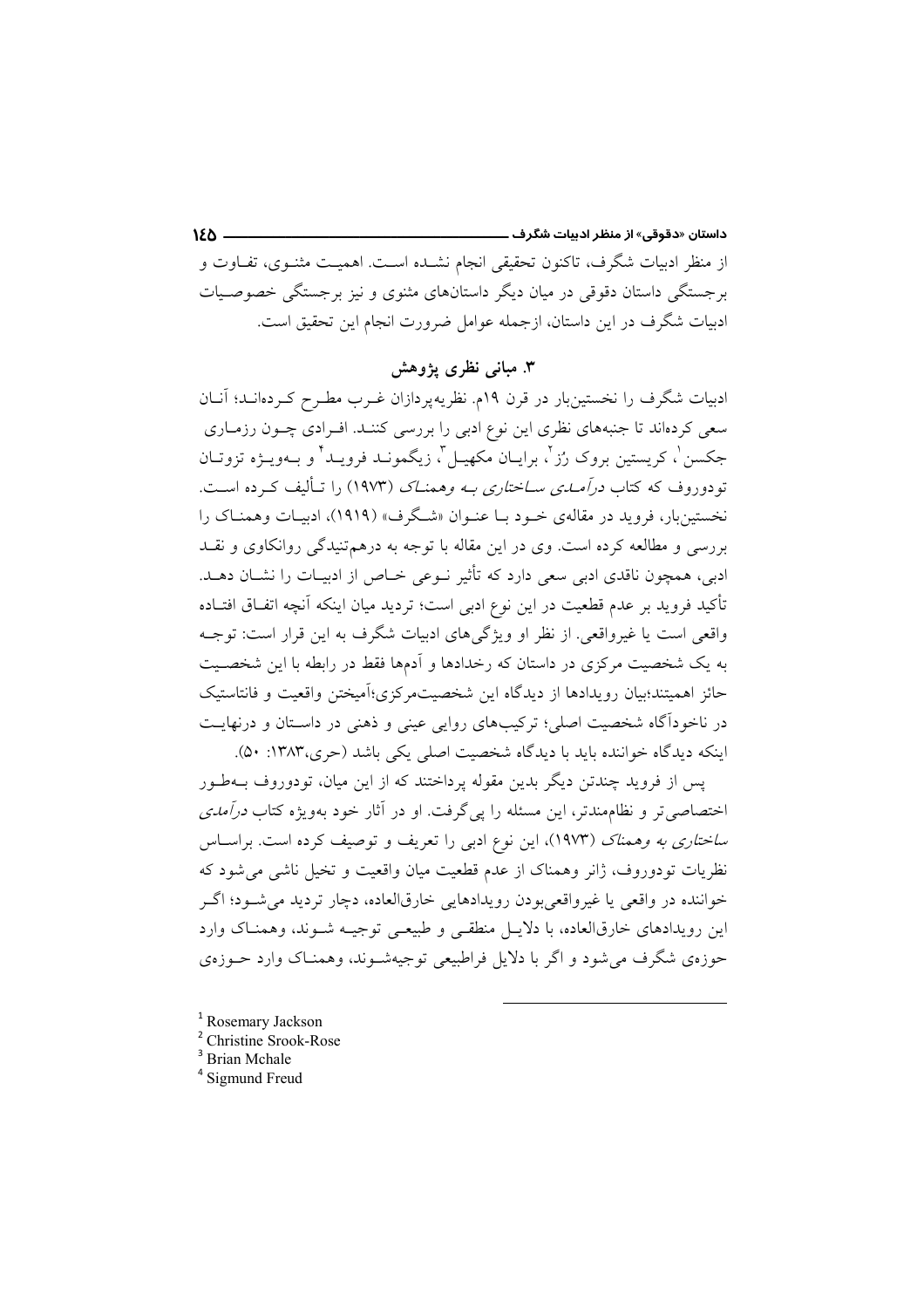داستان «دقوقی» از منظر ادىيات شگرف ـــ  $150 -$ از منظر ادبیات شگرف، تاکنون تحقیقی انجام نشـده اسـت. اهمیـت مثنـوی، تفـاوت و برجستگی داستان دقوقی در میان دیگر داستانهای مثنوی و نیز برجستگی خصوصـیات ادبیات شگرف در این داستان، ازجمله عوامل ضرورت انجام این تحقیق است.

### ۳. مبانی نظری یژوهش

ادبیات شگرف را نخستین بار در قرن ۱۹م. نظریهپردازان غــرب مطــرح کــردهانــد؛ آنــان سعی کردهاند تا جنبههای نظری این نوع ادبی را بررسی کننـد. افـرادی چــون رزمــاری جکسن لٰہ کریستین بروک رُز لٰہ برایـان مکھیـل ل زیگمونــد فرویــد ٔ و بــهویــۋه تزوتــان .<br>تودوروف که کتاب *درآمیدی سیاختاری په وهمنیاک* (۱۹۷۳) را تبألیف کیرده است. نخستینبار، فروید در مقالهی خـود بـا عنـوان «شـگرف» (۱۹۱۹)، ادبیـات وهمنـاک را بررسی و مطالعه کرده است. وی در این مقاله با توجه به درهم تنیدگی روانکاوی و نقـد ادبی، همچون ناقدی ادبی سعی دارد که تأثیر نـوعی خـاص از ادبیـات را نشــان دهــد. تأكيد فرويد بر عدم قطعيت در اين نوع ادبي است؛ ترديد ميان اينكه آنچه اتفـاق افتــاده واقعی است یا غیرواقعی. از نظر او ویژگیهای ادبیات شگرف به این قرار است: توجـه به یک شخصیت مرکزی در داستان که رخدادها و اَدمها فقط در رابطه با این شخصـیت حائز اهمیتند؛بیان رویدادها از دیدگاه این شخصیتمرکزی؛آمیختن واقعیت و فانتاستیک در ناخودآگاه شخصیت اصلی؛ ترکیبهای روایی عینی و ذهنی در داسـتان و درنهایـت اینکه دیدگاه خواننده باید با دیدگاه شخصیت اصلی یکی باشد (حری،۱۳۸۳: ۵۰).

پس از فروید چندتن دیگر بدین مقوله پرداختند که از این میان، تودوروف بــهطـور اختصاصی تر و نظامِمندتر، این مسئله را یی گرفت. او در آثار خود بهویژه کتاب *درآمدی ساختاری به وهمناک (*۱۹۷۳)، این نوع ادبی را تعریف و توصیف کرده است. براسـاس نظریات تودوروف، ژانر وهمناک از عدم قطعیت میان واقعیت و تخیل ناشی می شود که خواننده در واقعي يا غيرواقعي بودن رويدادهايي خارقالعاده، دچار ترديد مي شـود؛ اگـر این رویدادهای خارقالعاده، با دلایـل منطقـی و طبیعـی توجیـه شـوند، وهمنـاک وارد حوزهي شگرف مي شود و اگر با دلايل فراطبيعي توجيهشـوند، وهمنــاک وارد حــوزهي

<sup>2</sup> Christine Srook-Rose

<sup>4</sup> Sigmund Freud

<sup>&</sup>lt;sup>1</sup> Rosemary Jackson

<sup>&</sup>lt;sup>3</sup> Brian Mchale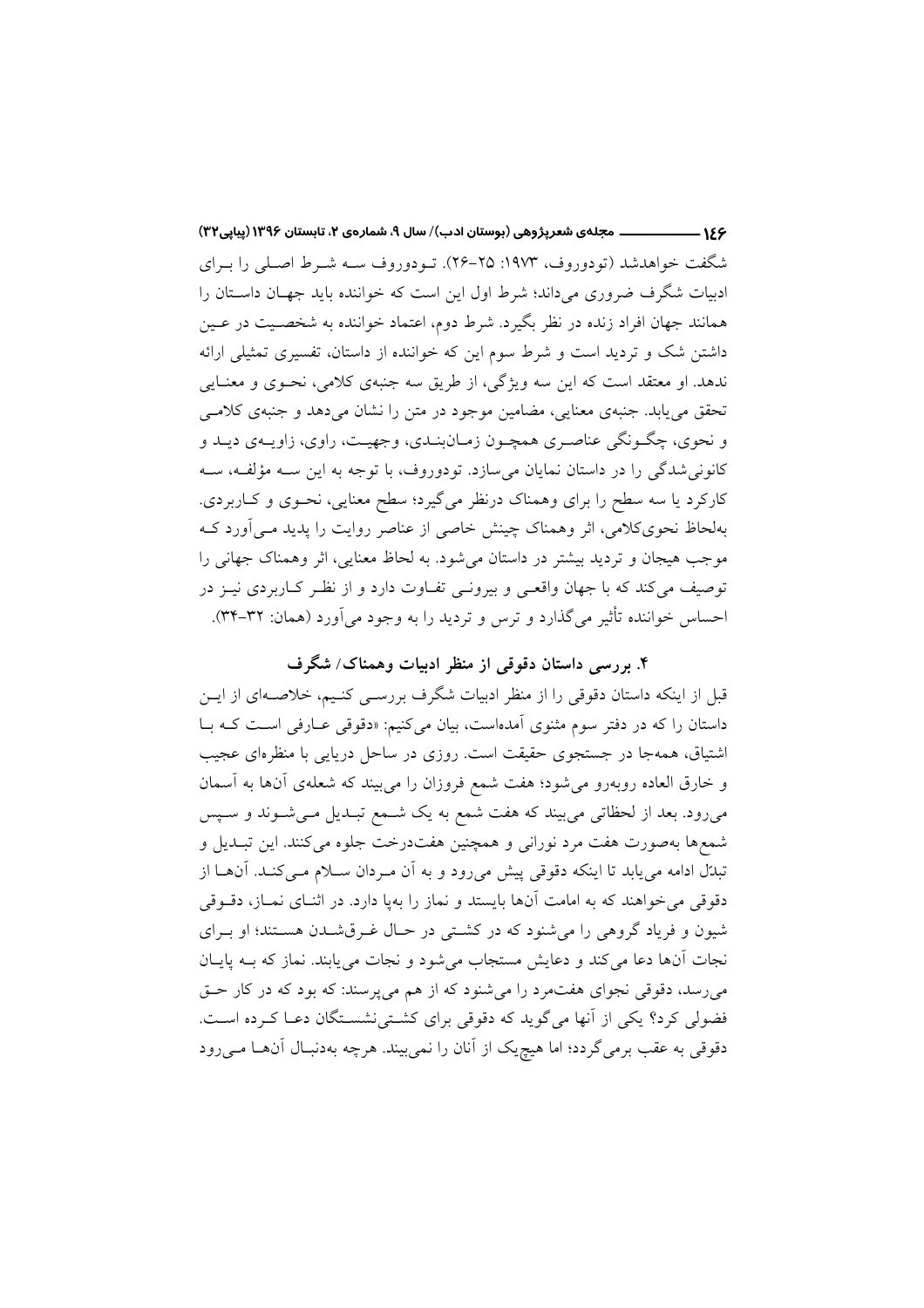۱۶۶ ـــــــــــــــــــــــ مجلهي شعرپژوهي (بوستان ادب)/ سال ۹، شمارهي ۲، تابستان ۱۳۹۶ (پیاپی۳۲) شگفت خواهدشد (تودوروف، ۱۹۷۳: ۲۵–۲۶). تـودوروف ســه شــرط اصـلي را بــراي ادبیات شگرف ضروری میداند؛ شرط اول این است که خواننده باید جهـان داسـتان را همانند جهان افراد زنده در نظر بگیرد. شرط دوم، اعتماد خواننده به شخصـیت در عـین داشتن شک و تردید است و شرط سوم این که خواننده از داستان، تفسیری تمثیلی ارائه ندهد. او معتقد است که این سه ویژگی، از طریق سه جنبهی کلامی، نحـوی و معنـایی تحقق می یابد. جنبهی معنایی، مضامین موجود در متن را نشان میدهد و جنبهی کلامی و نحوي، چگـونگي عناصـري همچـون زمـانبنـدي، وجهيـت، راوي، زاويـهي ديـد و کانونی شدگی را در داستان نمایان می سازد. تودوروف، با توجه به این سـه مؤلفـه، سـه کارکرد یا سه سطح را برای وهمناک درنظر می گیرد؛ سطح معنایی، نحـوی و کــاربردی. بهلحاظ نحویکلامی، اثر وهمناک چینش خاصی از عناصر روایت را پدید مـی|ورد کـه موجب هيجان و ترديد بيشتر در داستان مي شود. به لحاظ معنايي، اثر وهمناک جهاني را توصيف مي كند كه با جهان واقعـي و بيرونـي تفــاوت دارد و از نظـر كــاربردي نيــز در احساس خواننده تأثیر میگذارد و ترس و تردید را به وجود میآورد (همان: ۳۲-۳۴).

# ۴. بررسی داستان دقوقی از منظر ادبیات وهمناک/ شگرف

قبل از اینکه داستان دقوقی را از منظر ادبیات شگرف بررسـی کنـیم، خلاصـهای از ایــن داستان را که در دفتر سوم مثنوی آمدهاست، بیان میکنیم: «دقوقی عـارفی اسـت کـه بـا اشتیاق، همهجا در جستجوی حقیقت است. روزی در ساحل دریایی با منظرهای عجیب و خارق العاده روبهرو میشود؛ هفت شمع فروزان را می بیند که شعلهی آنها به آسمان میررود. بعد از لحظاتی می بیند که هفت شمع به یک شـمع تبـدیل مـی شـوند و سـیس شمعها بهصورت هفت مرد نورانی و همچنین هفتدرخت جلوه میکنند. این تبـدیل و تبدّل ادامه می یابد تا اینکه دقوقی پیش می رود و به آن مـردان سـلام مـی کنـد. آنهـا از دقوقی میخواهند که به امامت آنها بایستد و نماز را بهپا دارد. در اثنـای نمــاز، دقــوقی شیون و فریاد گروهی را می شنود که در کشتی در حـال غـرقشـدن هسـتند؛ او بـرای نجات آنها دعا مي كند و دعايش مستجاب مي شود و نجات مي يابند. نماز كه بـه يايـان میرسد، دقوقی نجوای هفتمرد را میشنود که از هم میپرسند: که بود که در کار حـق فضولی کرد؟ یکی از آنها میگوید که دقوقی برای کشتی نشستگان دعـا کـرده اسـت. دقوقی به عقب برمی گردد؛ اما هیچیک از آنان را نمی بیند. هرچه بهدنبـال آنهــا مــی رود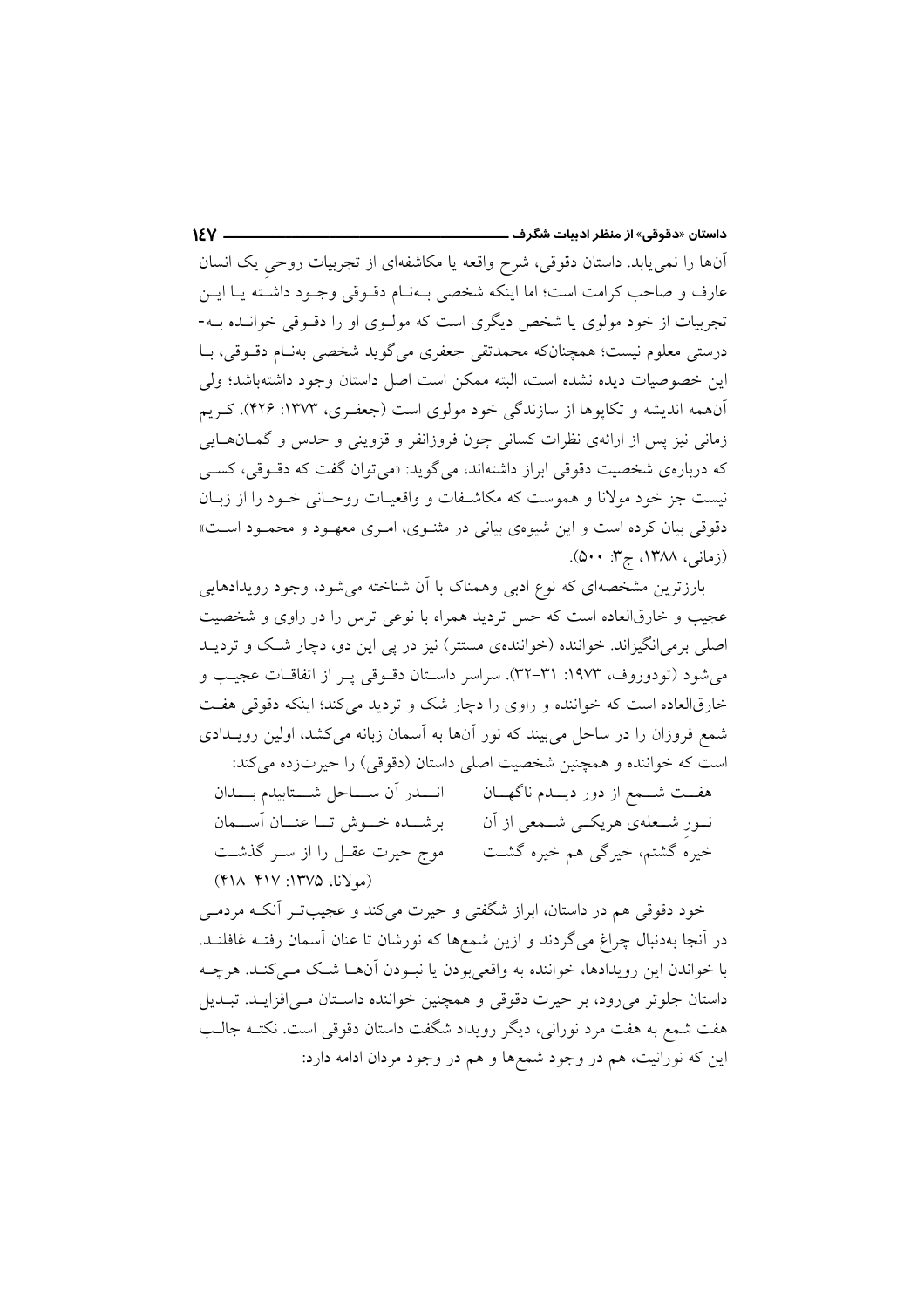آنها را نمی پابد. داستان دقوقی، شرح واقعه یا مکاشفهای از تجربیات روحی یک انسان عارف و صاحب كرامت است؛ اما اينكه شخصي بـهنـام دقـوقي وجـود داشـته يـا ايــن تجربیات از خود مولوی یا شخص دیگری است که مولـوی او را دقـوقی خوانـده بـه-درستی معلوم نیست؛ همچنانکه محمدتقی جعفری می گوید شخصی بهنـام دقــوقی، بــا اين خصوصيات ديده نشده است، البته ممكن است اصل داستان وجود داشتهباشد؛ ولي آنهمه اندیشه و تکاپوها از سازندگی خود مولوی است (جعفـری، ۱۳۷۳: ۴۲۶). کـریم زماني نيز پس از ارائهي نظرات كساني چون فروزانفر و قزويني و حدس و گمــانهــايي که دربارهی شخصیت دقوقی ابراز داشتهاند، میگوید: «می توان گفت که دقـوقی، کســی نیست جز خود مولانا و هموست که مکاشـفات و واقعیـات روحـانی خـود را از زبـان دقوقی بیان کرده است و این شیوهی بیانی در مثنوی، امری معهـود و محمـود اسـت» (زمانی، ۱۳۸۸، ج۳: ۵۰۰).

بارزترین مشخصهای که نوع ادبی وهمناک با آن شناخته می شود، وجود رویدادهایی عجیب و خارقالعاده است که حس تردید همراه با نوعی ترس را در راوی و شخصیت اصلي برمي(نگيزاند. خواننده (خوانندهي مستتر) نيز در يي اين دو، دچار شـک و ترديــد می شود (تودوروف، ۱۹۷۳: ۳۱-۳۲). سراسر داستان دقوقی په از اتفاقیات عجیب و خارقالعاده است که خواننده و راوی را دچار شک و تردید می کند؛ اینکه دقوقی هفت شمع فروزان را در ساحل می بیند که نور آنها به آسمان زبانه می کشد، اولین رویــدادی است كه خواننده و همچنين شخصيت اصلي داستان (دقوقي) را حيرتزده مي كند: هفــت شـــمع از دور ديـــدم ناگهـــان مـــــار ان ســــاحل شــــتابيدم بــــدان نــور شــعلهي هريكــي شــمعي از آن برشـــده خـــوش تـــا عنـــان آســـمان خیرهُ گشتم، خیرگی هم خیره گشت موج حیرت عقـل را از سـر گذشـت (مولانا، ١٣٧۵: ۴١٧-٢١٨)

خود دقوقی هم در داستان، ابراز شگفتی و حیرت میکند و عجیبتـر آنکـه مردمــی در آنجا بهدنبال چراغ میگردند و ازین شمعها که نورشان تا عنان آسمان رفتـه غافلنــد. با خواندن این رویدادها، خواننده به واقعیبودن یا نبـودن آنهـا شـک مـیکنـد. هرچـه داستان جلوتر می رود، بر حیرت دقوقی و همچنین خواننده داستان مے افزایـد. تبـدیل هفت شمع به هفت مرد نورانی، دیگر رویداد شگفت داستان دقوقی است. نکتــه جالــب این که نورانیت، هم در وجود شمعها و هم در وجود مردان ادامه دارد: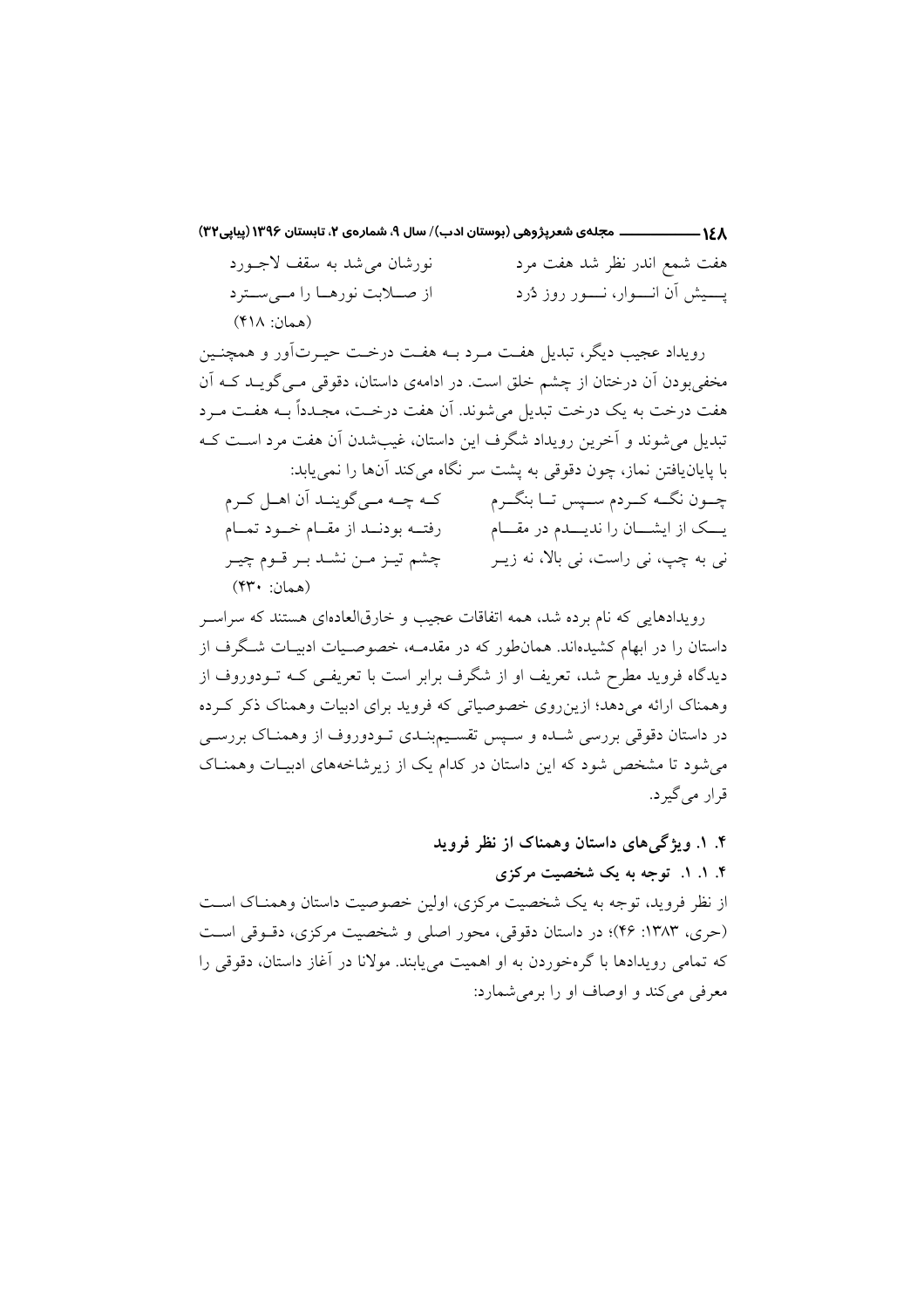۱۶۸ ــــــــــــــــــــ مجلهي شعرپژوهي (بوستان ادب)/ سال ۹، شمارهي ۲، تابستان ۱۳۹۶ (پیاپی۳۲) نورشان می شد به سقف لاجورد هفت شمع اندر نظر شد هفت مرد از صلابت نورهــا را مــىسـترد پــــیش أن انـــــوار، نــــــور روز دُرد (همان: ۴۱۸)

رویداد عجیب دیگر، تبدیل هفت مرد بـه هفـت درخـت حیـرتآور و همچنـین مخفی بودن آن درختان از چشم خلق است. در ادامهی داستان، دقوقی مـی گویــد کــه آن هفت درخت به یک درخت تبدیل می شوند. اَن هفت درخــت، مجـدداً بــه هفــت مــرد تبدیل می شوند و آخرین رویداد شگرف این داستان، غیبشدن آن هفت مرد اسـت کـه با پایانیافتن نماز، چون دقوقی به پشت سر نگاه می کند آنها را نمی پابد: چـون نگــه كــردم ســيس تــا بنگــرم كــه چــه مــى گوينــد آن اهــل كــرم یـــک از ایشـــان را ندیـــدم در مقـــام رفتــه بودنــد از مقــام خــود تمــام نی به چپ، نی راست، نی بالا، نه زیــر چشم تيـز مـن نشـد بـر قـوم چيـر (همان: ۴۳۰)

رویدادهایی که نام برده شد، همه اتفاقات عجیب و خارقالعادهای هستند که سراسـر داستان را در ابهام کشیدهاند. همانطور که در مقدمــه، خصوصـیات ادبیــات شــگرف از دیدگاه فروید مطرح شد، تعریف او از شگرف برابر است با تعریفـی کـه تــودوروف از وهمناک ارائه میدهد؛ ازین روی خصوصیاتی که فروید برای ادبیات وهمناک ذکر که ده در داستان دقوقی بررسی شـده و سـپس تقسـیمېنـدی تـودوروف از وهمنـاک بررسـی می شود تا مشخص شود که این داستان در کدام یک از زیر شاخههای ادبیـات وهمنـاک قرار می گیر د.

۴. ۱. ویژگی های داستان وهمناک از نظر فروید ۴. ۱. ۱. توجه به یک شخصیت مرکزی از نظر فروید، توجه به یک شخصیت مرکزی، اولین خصوصیت داستان وهمنـاک اسـت (حرى، ١٣٨٣: ۴۶)؛ در داستان دقوقى، محور اصلى و شخصيت مركزى، دقـوقى اسـت که تمامی رویدادها با گرمخوردن به او اهمیت می بابند. مولانا در آغاز داستان، دقوقی را معرفی میکند و اوصاف او را برمی شمارد: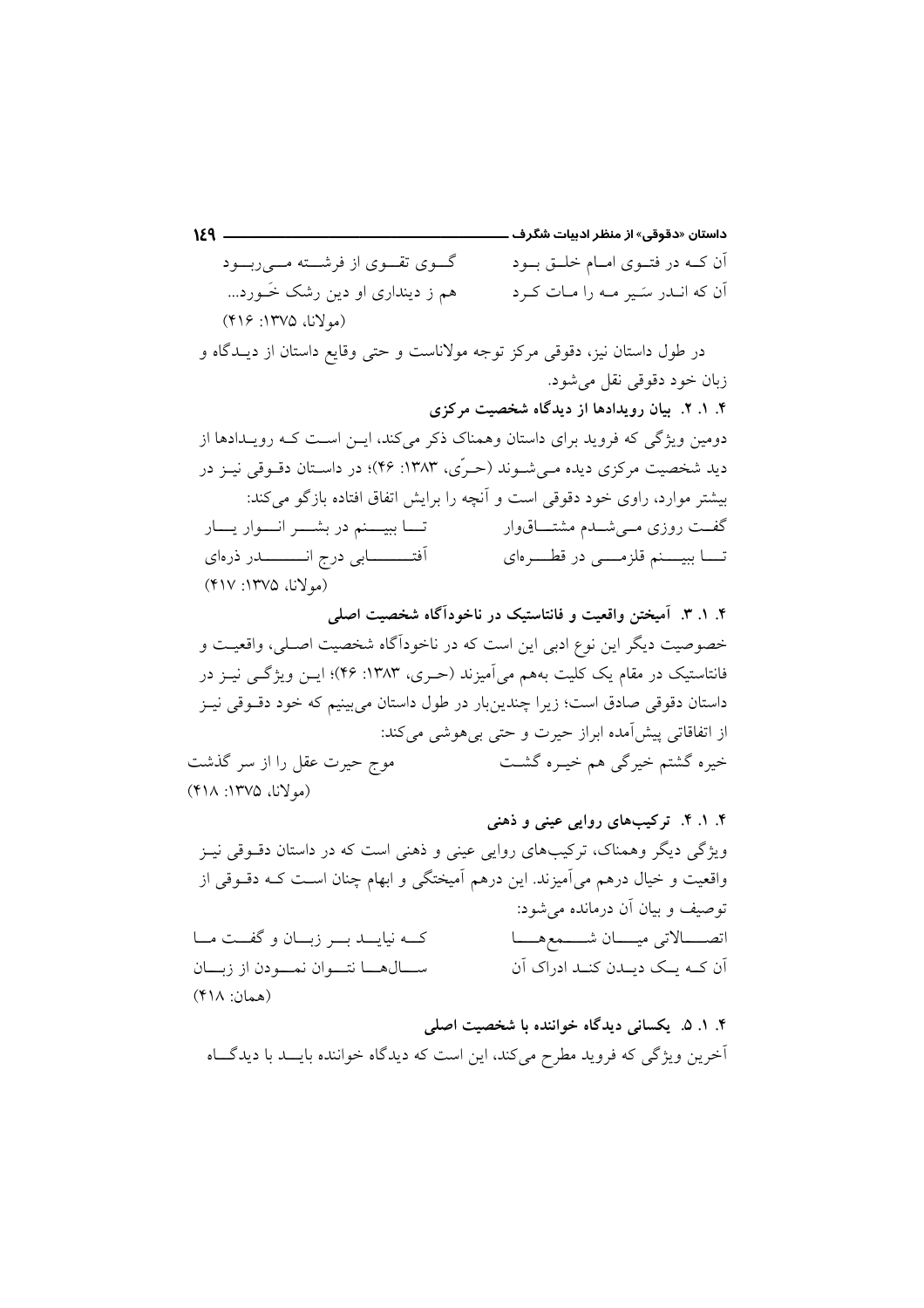گوی تقوی از فرشته مهریریسود آن کــه در فتــوی امــام خلــق بــود هم ز دینداری او دین رشک خَــورد... آن که انـدر سَـير مـه را مـات کـرد (مولانا، ١٣٧۵: ٢١۶)

در طول داستان نیز، دقوقی مرکز توجه مولاناست و حتی وقایع داستان از دیــدگاه و زبان خود دقوقی نقل میشود. ۴. ۱. ۲. بیان رویدادها از دیدگاه شخصیت مرکزی دومین ویژگی که فروید برای داستان وهمناک ذکر میکند، ایـن اسـت کـه رویـدادها از دید شخصیت مرکزی دیده مے شــوند (حـرّی، ۱۳۸۳: ۴۶)؛ در داسـتان دقــوقی نیــز در بیشتر موارد، راوی خود دقوقی است و آنچه را برایش اتفاق افتاده بازگو می کند: تـــا ببيــــنم در بشــــر انــــوار يــــار گفــت روزی مــیشــدم مشتــــاق<code>وار</code> تــــا ببيـــــنم قلزمـــــى در قطــــــرهاى (مولانا، ۱۳۷۵: ۴۱۷)

۴. ۱. ۳. آمیختن واقعیت و فانتاستیک در ناخودآگاه شخصیت اصلی خصوصیت دیگر این نوع ادبی این است که در ناخوداًگاه شخصیت اصـلی، واقعیـت و فانتاستیک در مقام یک کلیت بههم می آمیزند (حـری، ۱۳۸۳: ۴۶)؛ ایــن ویژگــی نیــز در داستان دقوقی صادق است؛ زیرا چندینبار در طول داستان می بینیم که خود دقــوقی نیــز از اتفاقاتی پیش آمده ابراز حیرت و حتی بی هوشی می کند: موج حیرت عقل را از سر گذشت خیرہ گشتم خبرگی ہم خیبرہ گشت (مولانا، ۱۳۷۵: ۴۱۸)

۴. ۱. ۴. ترکیبهای روایی عینی و ذهنی ویژگی دیگر وهمناک، ترکیبهای روایی عینی و ذهنی است که در داستان دقـوقی نیـز واقعیت و خیال درهم میآمیزند. این درهم آمیختگی و ابهام چنان است کـه دقــوقی از توصيف و بيان آن درمانده مي شود: اتصــــالاتى ميــــان شــــمعهــــا كــه نيايـــد بـــر زبـــان و گفـــت مـــا ســـالهـــا نتـــوان نمـــودن از زيـــان آن کــه سـک دسـدن کنــد ادراک آن (همان: ۴۱۸) ۴. ۱. ۵. یکسانی دیدگاه خواننده با شخصیت اصلی

أخرين ويژگي كه فرويد مطرح ميكند، اين است كه ديدگاه خواننده بايــد با ديدگــاه

 $159$  —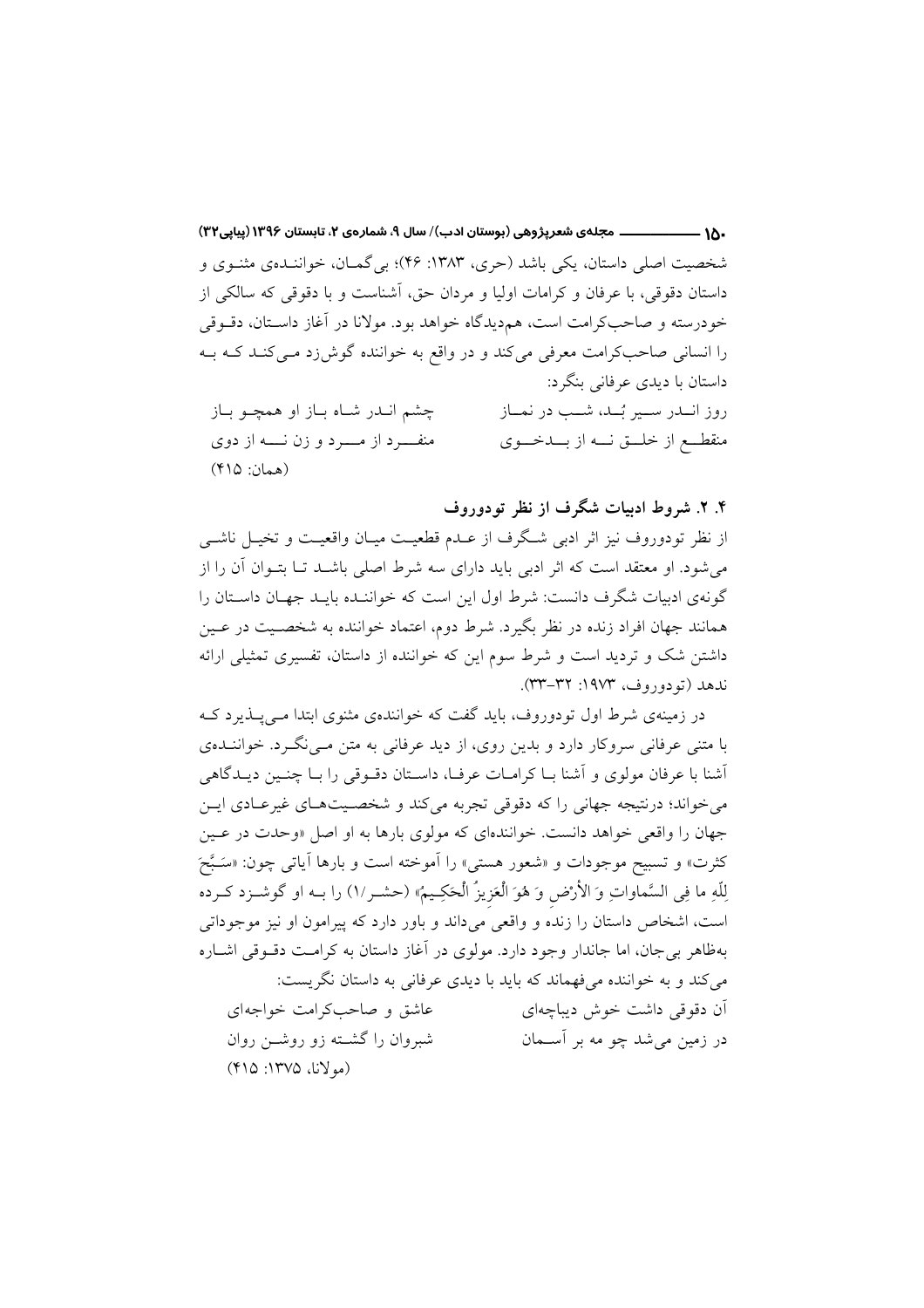شخصیت اصلی داستان، یکی باشد (حری، ۱۳۸۳: ۴۶)؛ بی گمــان، خواننــدهی مثنـوی و داستان دقوقی، با عرفان و کرامات اولیا و مردان حق، آشناست و با دقوقی که سالکی از خودرسته و صاحب كرامت است، هم ديدگاه خواهد بود. مولانا در آغاز داستان، دقوقي را انسانی صاحبکرامت معرفی میکند و در واقع به خواننده گوش زد مـیکنـد کـه بـه داستان با دیدی عرفانی بنگرد: روز انسدر سمير بُسد، شمب در نمساز چشم انـدر شـاه بـاز او همچـو بـاز منقطــع از خلـــق نـــه از بـــدخـــوى (همان: ۴۱۵)

## ۴. ۲. شروط ادبیات شگرف از نظر تودوروف

از نظر تودوروف نیز اثر ادبی شگرف از عـدم قطعیـت میـان واقعیـت و تخیـل ناشــی می شود. او معتقد است که اثر ادبی باید دارای سه شرط اصلی باشــد تــا بتــوان آن را از گونهی ادبیات شگرف دانست: شرط اول این است که خواننـده بایـد جهـان داسـتان را همانند جهان افراد زنده در نظر بگیرد. شرط دوم، اعتماد خواننده به شخصـیت در عـین داشتن شک و تردید است و شرط سوم این که خواننده از داستان، تفسیری تمثیلی ارائه ندهد (تودوروف، ۱۹۷۳: ۳۲-۳۳).

در زمینهی شرط اول تودوروف، باید گفت که خوانندهی مثنوی ابتدا مـیپــذیرد کــه با متنی عرفانی سروکار دارد و بدین روی، از دید عرفانی به متن مـیiکـرد. خواننــدهی أشنا با عرفان مولوی و أشنا بـا كرامـات عرفـا، داسـتان دقــوقى را بــا چنــين ديــدگاهى مي خواند؛ درنتيجه جهاني را كه دقوقي تجربه مي كند و شخصـيتهـاي غيرعــادي ايــن جهان را واقعی خواهد دانست. خوانندهای که مولوی بارها به او اصل «وحدت در عـین كثرت» و تسبيح موجودات و «شعور هستي» را اَموخته است و بارها اَياتي چون: «سَـبَّحَ لِلّهِ ما فِي السَّماواتِ وَ الأَرْض وَ هُوَ الْعَزِيزُ الْحَكِيمُ» (حشـر/١) را بــه او گوشــزد كــرده است، اشخاص داستان را زنده و واقعی میداند و باور دارد که پیرامون او نیز موجوداتی بهظاهر بی جان، اما جاندار وجود دارد. مولوی در آغاز داستان به کرامت دقوقی اشـاره می کند و به خواننده می فهماند که باید با دیدی عرفانی به داستان نگریست: عاشق و صاحب کرامت خواجهای أن دقوقي داشت خوش ديباچهاي شبروان را گشــته زو روشــن روان در زمین می شد چو مه بر آســمان (مولانا، ١٣٧۵: ۴١٥)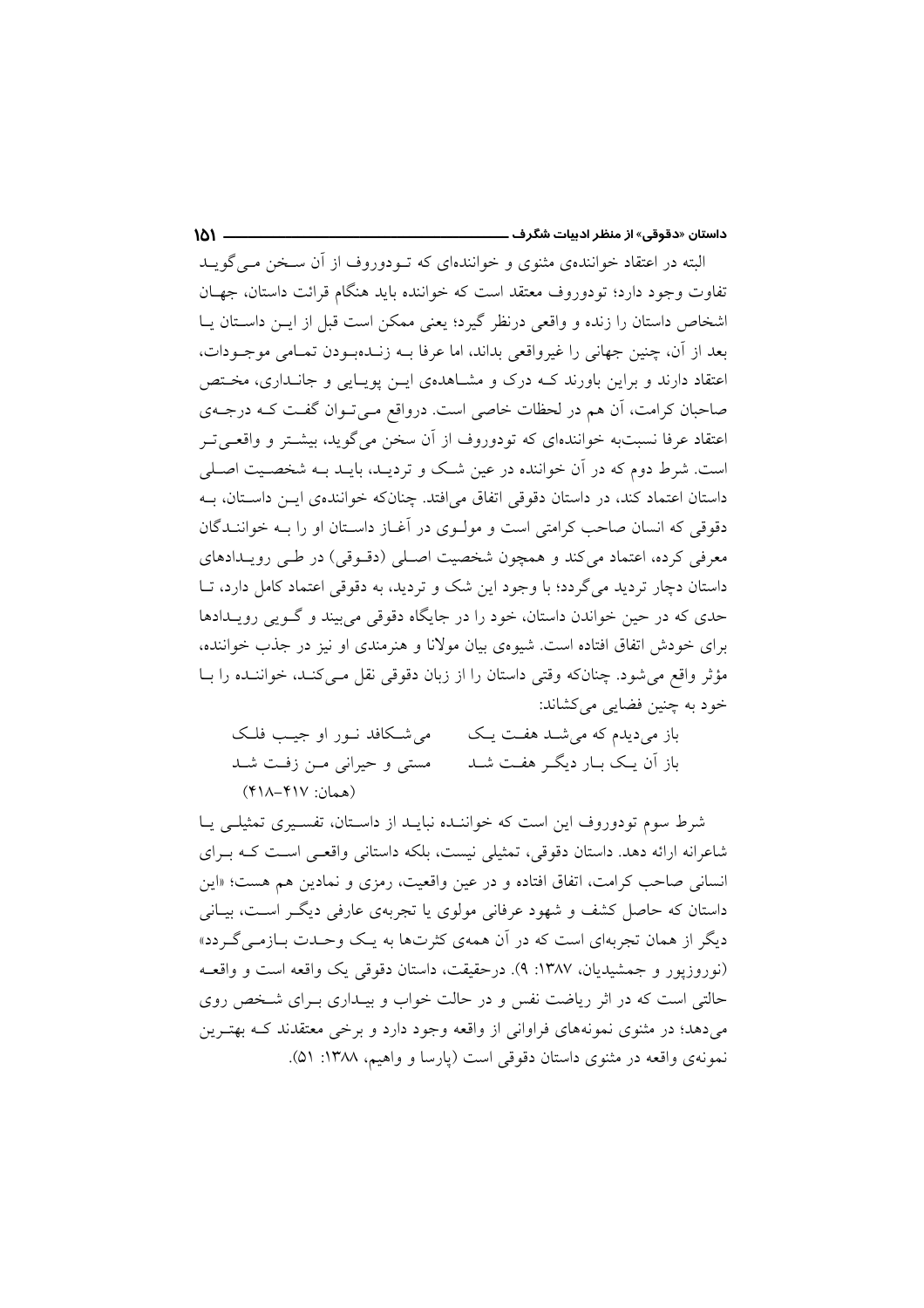البته در اعتقاد خوانندهی مثنوی و خوانندهای که تـودوروف از آن سـخن مـی گویـد تفاوت وجود دارد؛ تودوروف معتقد است که خواننده باید هنگام قرائت داستان، جهـان اشخاص داستان را زنده و واقعی درنظر گیرد؛ یعنی ممکن است قبل از ایـن داسـتان یـا بعد از آن، چنین جهانی را غیرواقعی بداند، اما عرفا بـه زنـدهبـودن تمـامی موجـودات، اعتقاد دارند و براین باورند کـه درک و مشـاهدهی ایـن پویـایی و جانـداری، مخـتص صاحبان کرامت، اَن هم در لحظات خاصی است. درواقع مـیتـوان گفـت کـه درجـهی اعتقاد عرفا نسبتبه خوانندهای که تودوروف از آن سخن می گوید، بیشــتر و واقعــیتــر است. شرط دوم که در آن خواننده در عین شک و تردیـد، بایـد بـه شخصـیت اصـلی داستان اعتماد کند، در داستان دقوقی اتفاق می افتد. چنانکه خوانندهی ایــن داسـتان، بــه دقوقی که انسان صاحب کرامتی است و مولـوی در آغـاز داسـتان او را بـه خواننــدگان معرفی کرده، اعتماد می کند و همچون شخصیت اصلی (دقـوقی) در طـی رویـدادهای داستان دچار تردید می گردد؛ با وجود این شک و تردید، به دقوقی اعتماد کامل دارد، تــا حدی که در حین خواندن داستان، خود را در جایگاه دقوقی می بیند و گـویی رویـدادها برای خودش اتفاق افتاده است. شیوهی بیان مولانا و هنرمندی او نیز در جذب خواننده، مؤثر واقع می شود. چنانکه وقتی داستان را از زبان دقوقی نقل مـیکنـد، خواننـده را بـا خود به چنین فضایی میکشاند:

 $\mathbf{M}$ 

می شکافد نور او جیب فلک باز میدیدم که می شـد هفـت یـک باز آن یـک بــار دیگــر هفــت شــد مستی و حیرانی مـن زفـت شـد (همان: ۴۱۷-۴۱۸)

شرط سوم تودوروف این است که خواننـده نبایـد از داسـتان، تفسـیری تمثیلـی یـا شاعرانه ارائه دهد. داستان دقوقی، تمثیلی نیست، بلکه داستانی واقعی است کـه بـرای انسانی صاحب کرامت، اتفاق افتاده و در عین واقعیت، رمزی و نمادین هم هست؛ «این داستان که حاصل کشف و شهود عرفانی مولوی یا تجربهی عارفی دیگ است، بیـانی دیگر از همان تجربهای است که در آن همهی کثرتها به یک وحـدت بــازمــی گــردد» (نوروزیور و جمشیدیان، ۱۳۸۷: ۹). درحقیقت، داستان دقوقی یک واقعه است و واقعـه حالتی است که در اثر ریاضت نفس و در حالت خواب و بیـداری بـرای شـخص روی می دهد؛ در مثنوی نمونههای فراوانی از واقعه وجود دارد و برخی معتقدند کـه بهتـرین نمونهي واقعه در مثنوي داستان دقوقي است (پارسا و واهيم، ١٣٨٨: ٥١).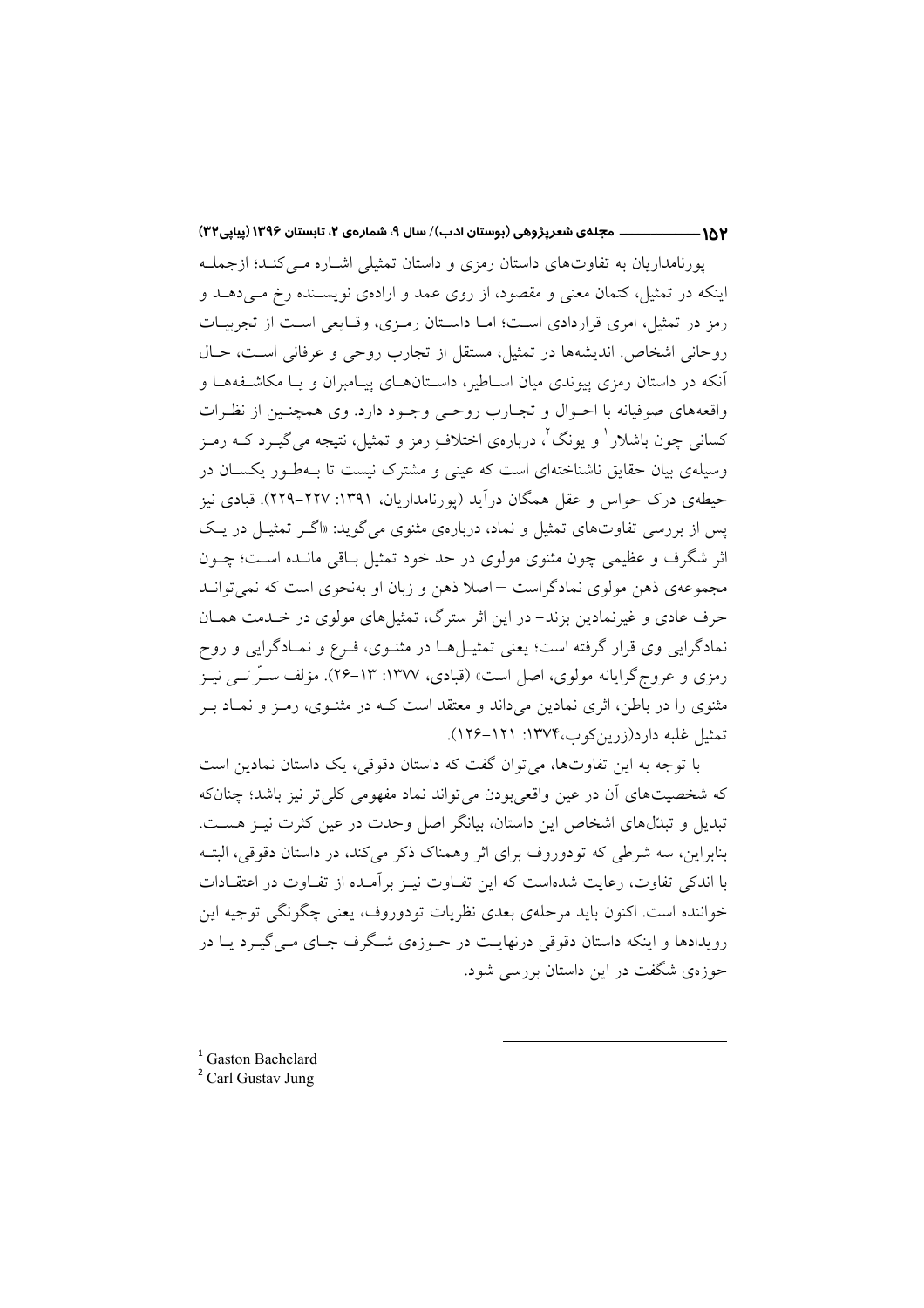ــــ مجلهى شعرپژوهي (بوستان ادب)/ سال ۹، شمارهى ۲، تابستان ۱۳۹۶ (پیاپی۳۲)  $-1\lambda Y$ 

یورنامداریان به تفاوتهای داستان رمزی و داستان تمثیلی اشباره مبی کنید؛ ازجملیه اینکه در تمثیل، کتمان معنی و مقصود، از روی عمد و ارادهی نویسـنده رخ مـیدهـد و رمز در تمثیل، امری قراردادی است؛ امـا داسـتان رمـزی، وقـایعی اسـت از تجربیـات روحاني اشخاص. انديشهها در تمثيل، مستقل از تجارب روحي و عرفاني است، حـال آنکه در داستان رمزی پیوندی میان اســاطیر، داســتانهــای پیــامبران و یــا مکاشــفههــا و واقعههای صوفیانه با احــوال و تجــارب روحــی وجــود دارد. وی همچنــین از نظــرات کسانی چون باشلار ' و پونگ'، دربارهی اختلاف رمز و تمثیل، نتیجه می گیـرد کــه رمـز وسیلهی بیان حقایق ناشناختهای است که عینی و مشترک نیست تا بـهطـور یکسـان در حیطهی درک حواس و عقل همگان درآید (پورنامداریان، ۱۳۹۱: ۲۲۷–۲۲۹). قبادی نیز یس از بررسی تفاوتهای تمثیل و نماد، دربارهی مثنوی می گوید: «اگـر تمثیـل در یـک اثر شگرف و عظیمی چون مثنوی مولوی در حد خود تمثیل بـاقی مانــده اســت؛ چــون مجموعهی ذهن مولوی نمادگراست –اصلا ذهن و زبان او بهنحوی است که نمی توانید حرف عادی و غیرنمادین بزند- در این اثر سترگ، تمثیلهای مولوی در خـدمت همـان نمادگرایی وی قرار گرفته است؛ یعنی تمثیــلهــا در مثنــوی، فــرع و نمــادگرایی و روح رمزی و عروجگرایانه مولوی، اصل است» (قبادی، ۱۳۷۷: ۱۳–۲۶). مؤلف ســرّ نـــی نیــز مثنوی را در باطن، اثری نمادین میداند و معتقد است کـه در مثنـوی، رمـز و نمـاد بـر تمثيل غلبه دارد(زرين كوب،١٣٧۴: ١٢١–١٢۶).

با توجه به این تفاوتها، می توان گفت که داستان دقوقی، یک داستان نمادین است که شخصیتهای آن در عین واقعی بودن می تواند نماد مفهومی کلی تر نیز باشد؛ چنانکه تبدیل و تبدّلهای اشخاص این داستان، بیانگر اصل وحدت در عین کثرت نیـز هسـت. بنابراین، سه شرطی که تودوروف برای اثر وهمناک ذکر می کند، در داستان دقوقی، البتـه با اندکی تفاوت، رعایت شدهاست که این تفـاوت نیــز بر آمـده از تفــاوت در اعتقــادات خواننده است. اکنون باید مرحلهی بعدی نظریات تودوروف، یعنی چگونگی توجیه این رویدادها و اینکه داستان دقوقی درنهایـت در حـوزهی شـگرف جـای مـی گیـرد یــا در حوزهي شگفت در اين داستان بررسي شود.

<sup>1</sup> Gaston Bachelard

<sup>2</sup> Carl Gustav Jung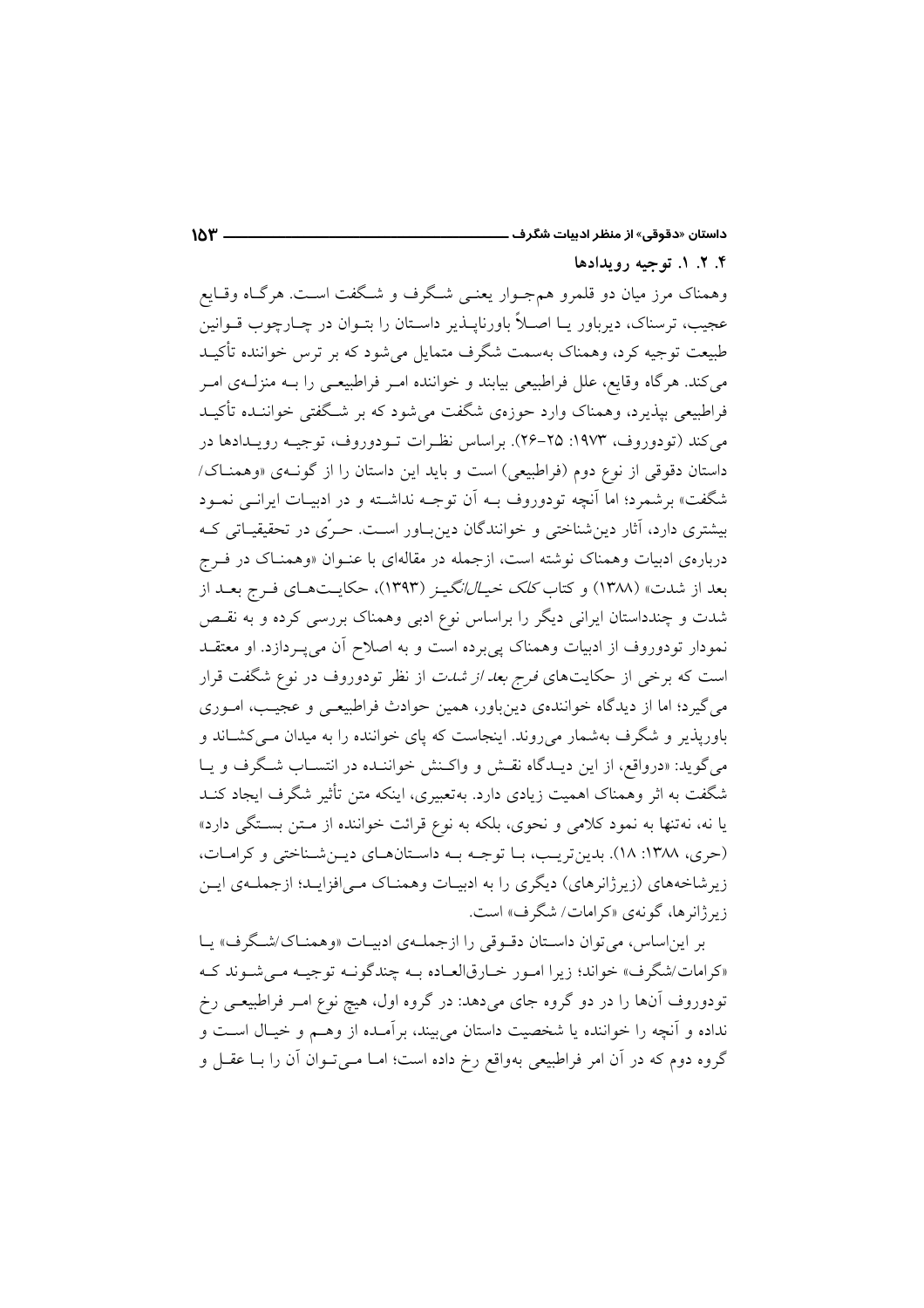۴. ۲. ۱. توجيه رويدادها

وهمناک مرز میان دو قلمرو همجوار یعنبی شگرف و شگفت است. هرگاه وقـایع عجیب، ترسناک، دیرباور یــا اصـلاً باورناپــذیر داســتان را بتــوان در چــارچوب قــوانین طبیعت توجیه کرد، وهمناک بهسمت شگرف متمایل میشود که بر ترس خواننده تأکیـد می کند. هرگاه وقایع، علل فراطبیعی بیابند و خواننده امـر فراطبیعـی را بــه منزلــهی امـر فراطبیعی بیذیرد، وهمناک وارد حوزهی شگفت می شود که بر شـگفتی خواننـده تأکیـد مي كند (تودوروف، ١٩٧٣: ٢٥–٢۶). براساس نظـرات تــودوروف، توجيــه رويــدادها در داستان دقوقی از نوع دوم (فراطبیعی) است و باید این داستان را از گون)ی «وهمنـاک/ شگفت» برشمرد؛ اما آنچه تودوروف بــه اَن توجــه نداشــته و در ادبيــات ايرانــي نمــود بیشتری دارد، آثار دین شناختی و خوانندگان دین باور است. حـرّی در تحقیقیـاتی کـه دربارهی ادبیات وهمناک نوشته است، ازجمله در مقالهای با عنـوان «وهمنـاک در فــرج بعد از شدت» (۱۳۸۸) و کتاب *کلک خیـالانگیــز* (۱۳۹۳)، حکایــتهــای فــرج بعــد از شدت و چندداستان ایرانی دیگر را براساس نوع ادبی وهمناک بررسی کرده و به نقـص نمودار تودوروف از ادبیات وهمناک پی برده است و به اصلاح آن می پـردازد. او معتقــد است که برخی از حکایتهای *فرج بعد از شدت* از نظر تودوروف در نوع شگفت قرار می گیرد؛ اما از دیدگاه خوانندهی دینباور، همین حوادث فراطبیعی و عجیب، امـوری باوریذیر و شگرف بهشمار میروند. اینجاست که پای خواننده را به میدان مـی کشـاند و می گوید: «درواقع، از این دیـدگاه نقـش و واكـنش خواننـده در انتسـاب شـگرف و یـا شگفت به اثر وهمناک اهمیت زیادی دارد. بهتعبیری، اینکه متن تأثیر شگرف ایجاد کنــد یا نه، نهتنها به نمود کلامی و نحوی، بلکه به نوع قرائت خواننده از متن بستگی دارد» (حرى، ١٣٨٨: ١٨). بدين تريب، با توجه به داستان هاى دين شناختى و كرامات، زیر شاخههای (زیرژانرهای) دیگری را به ادبیـات وهمنـاک مـی|فزایـد؛ ازجملـهی ایـن زیر ژانرها، گونهی «کرامات/ شگرف» است.

بر این اساس، می توان داستان دقبوقی را از جملهی ادبیـات «وهمنـاک/شـگرف» یـا «کرامات/شگرف» خواند؛ زیرا امـور خـارقالعـاده بـه چندگونـه توجیـه مـی شـوند کـه تودوروف آنها را در دو گروه جای میدهد: در گروه اول، هیچ نوع امـر فراطبیعـی رخ نداده و آنچه را خواننده یا شخصیت داستان می بیند، برآمـده از وهـم و خیـال اسـت و گروه دوم که در آن امر فراطبیعی بهواقع رخ داده است؛ امـا مـی تـوان آن را بـا عقـل و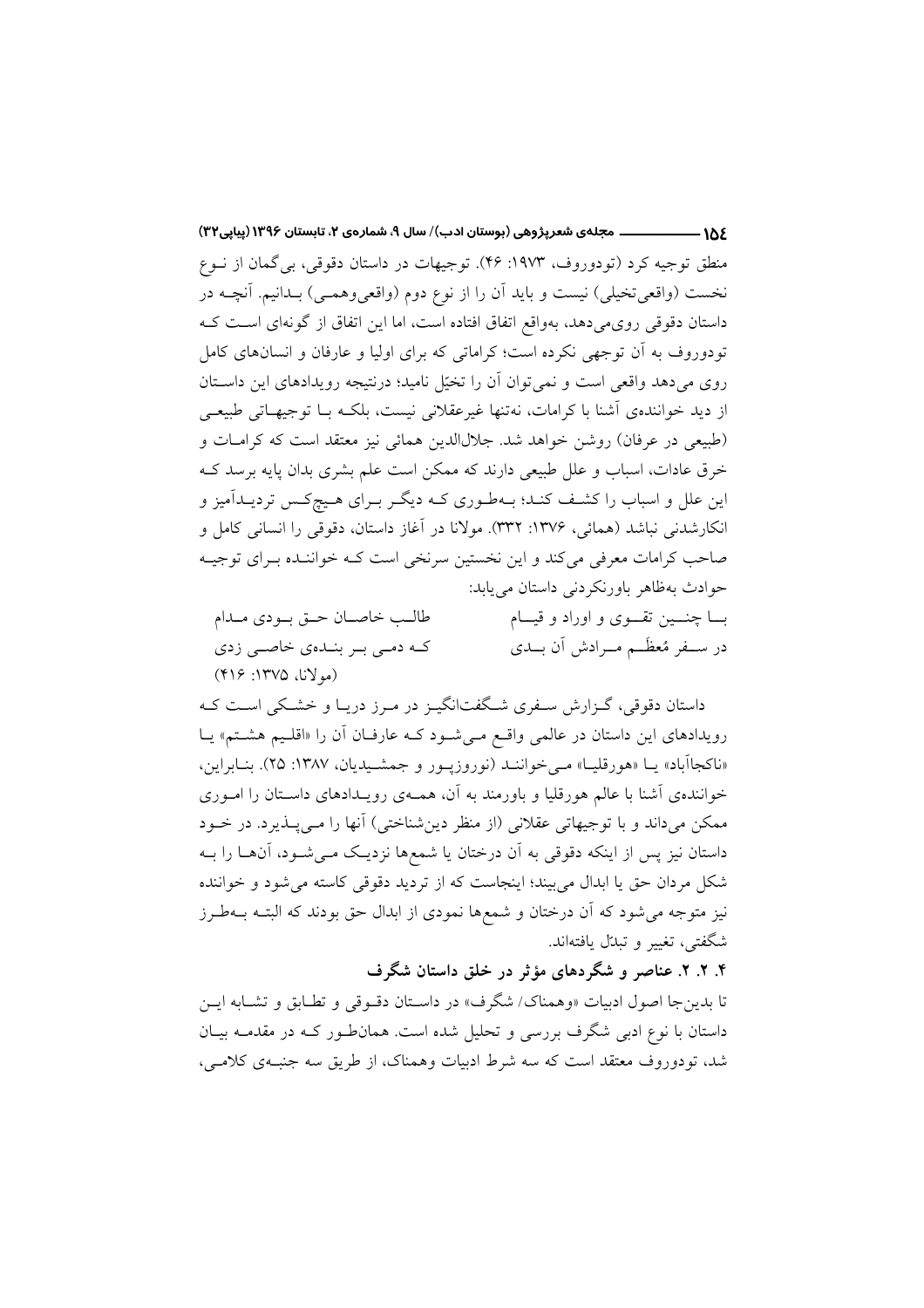\_\_\_\_\_\_ مجلهی شعرپژوهی (بوستان ادب)/ سال ۹، شمارهی ۲، تابستان ۱۳۹۶ (پیاپی۳۲)  $-105$ منطق توجیه کرد (تودوروف، ۱۹۷۳: ۴۶). توجیهات در داستان دقوقی، بی گمان از نـوع نخست (واقعیتخیلی) نیست و باید آن را از نوع دوم (واقعیوهمـی) بـدانیم. آنچـه در داستان دقوقی روی میدهد، بهواقع اتفاق افتاده است، اما این اتفاق از گونهای است ک تودوروف به آن توجهی نکرده است؛ کراماتی که برای اولیا و عارفان و انسانهای کامل روی میدهد واقعی است و نمیتوان آن را تخیّل نامید؛ درنتیجه رویدادهای این داستان از دید خوانندهی آشنا با کرامات، نهتنها غیرعقلانی نیست، بلکـه بـا توجیهـاتی طبیعـی (طبيعي در عرفان) روشن خواهد شد. جلالالدين همائي نيز معتقد است كه كرامـات و خرق عادات، اسباب و علل طبیعی دارند که ممکن است علم بشری بدان پایه برسد ک این علل و اسباب را کشف کنـد؛ بـهطـوری کـه دیگـر بـرای هـیچکـس تردیــدآمیز و انکارشدنی نباشد (همائی، ۱۳۷۶: ۳۳۲). مولانا در آغاز داستان، دقوقی را انسانی کامل و صاحب کرامات معرفی میکند و این نخستین سرنخی است کـه خواننـده بـرای توجیـه حوادث به ظاهر باورنکردنی داستان می یابد: طالب خاصان حتى بودي مدام

که دمی بر بندهی خاصی زدی (مولانا، ١٣٧۵: ٢١۶)

بـــا چنــــين تقــــوى و اوراد و قيــــام در ســفر مُعظَــم مــرادش أن بــدي

داستان دقوقی، گـزارش سـفری شـگفتانگیـز در مـرز دریـا و خشـکی اسـت کـه رویدادهای این داستان در عالمی واقع می شود کـه عارفـان آن را «اقلـیم هشـتم» یـا «ناکجاآباد» یــا «هورقلیــا» مــی خواننــد (نوروزیــور و جمشــیدیان، ۱۳۸۷: ۲۵). بنــابراین، خوانندهی آشنا با عالم هورقلیا و باورمند به آن، همـهی رویـدادهای داسـتان را امـوری ممکن میداند و با توجیهاتی عقلانی (از منظر دینشناختی) آنها را مـیLپـذیرد. در خــود داستان نیز پس از اینکه دقوقی به آن درختان یا شمعها نزدیک مـیشـود، آنهــا را بــه شکل مردان حق یا ابدال می بیند؛ اینجاست که از تردید دقوقی کاسته می شود و خواننده نیز متوجه میشود که آن درختان و شمعها نمودی از ابدال حق بودند که البتـه بــهطـرز شگفتي، تغيير و تبدل بافتهاند.

۴. ۲. ۲. عناصر و شگردهای مؤثر در خلق داستان شگرف

تا بدين جا اصول ادبيات «وهمناك/ شگرف» در داسـتان دقـوقي و تطـابق و تشـابه ايـن داستان با نوع ادبی شگرف بررسی و تحلیل شده است. همان طور کـه در مقدمـه بیـان شد، تودوروف معتقد است که سه شرط ادبیات وهمناک، از طریق سه جنب) کلامبی،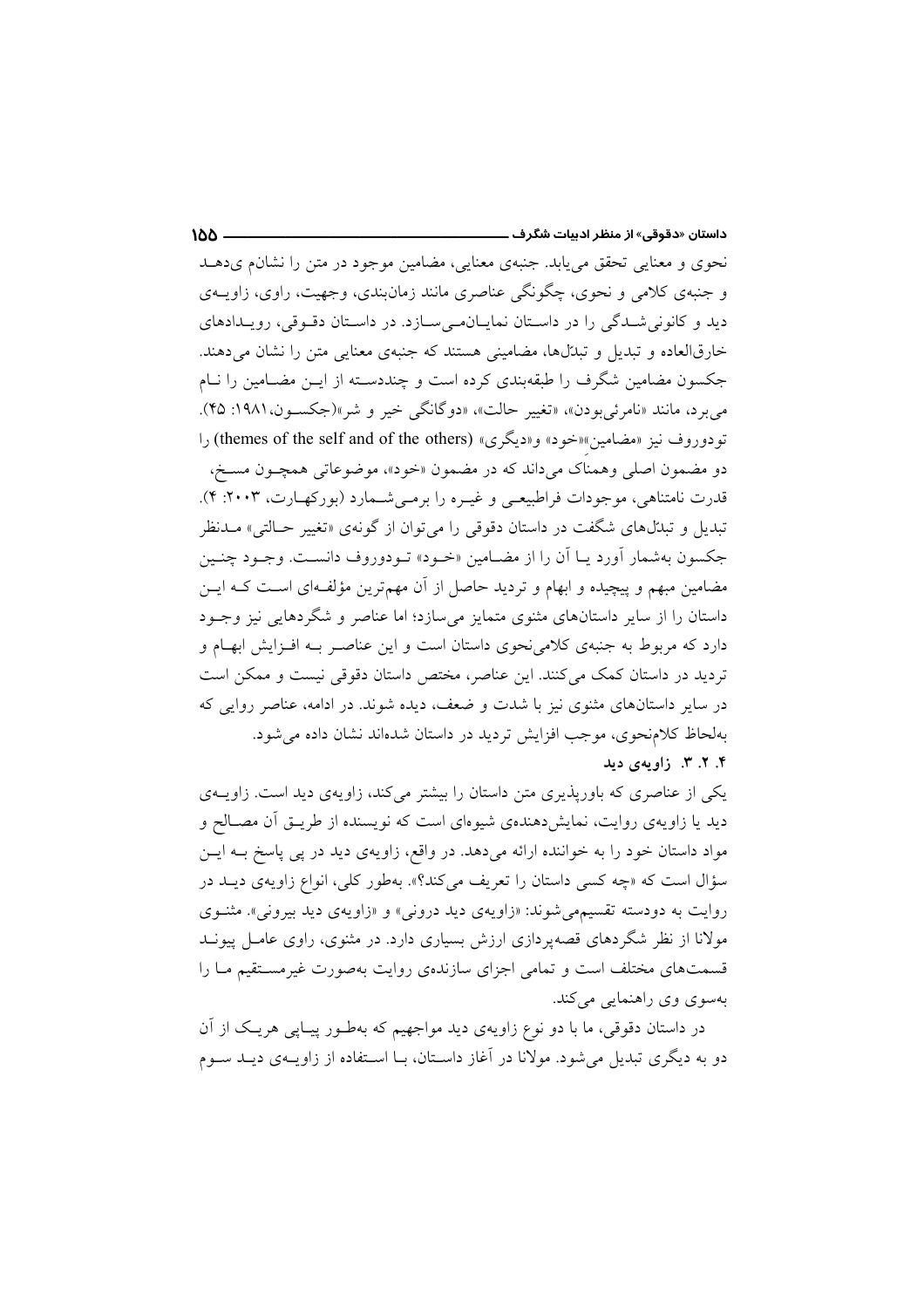نحوي و معنايي تحقق مي يابد. جنبهي معنايي، مضامين موجود در متن را نشان ميدهـد و جنبهی کلامی و نحوی، چگونگی عناصری مانند زمان بندی، وجهیت، راوی، زاویــهی دید و کانونی شدگی را در داستان نمایان میسازد. در داستان دقوقی، رویدادهای خارقالعاده و تبدیل و تبدّلها، مضامینی هستند که جنبهی معنایی متن را نشان می دهند. جکسون مضامین شگرف را طبقهبندی کرده است و چنددسـته از ایــن مضـامین را نــام مي برد، مانند «نامرئي بودن»، «تغيير حالت»، «دوگانگي خير و شر»(جکسون،١٩٨١: ۴۵). تودوروف نيز «مضامين»«خود» و«ديگري» (themes of the self and of the others) را دو مضمون اصلي وهمناک ميداند که در مضمون «خود»، موضوعاتي همچــون مســخ، قدرت نامتناهی، موجودات فراطبیعی و غیـره را برمـیشـمارد (بورکهـارت، ۲۰۰۳: ۴). تبدیل و تبدّلهای شگفت در داستان دقوقی را میتوان از گونهی «تغییر حـالتی» مــدنظر جکسون بهشمار آورد یـا آن را از مضـامین «خـود» تـودوروف دانسـت. وجـود چنـین مضامین مبهم و پیچیده و ابهام و تردید حاصل از آن مهمترین مؤلفهای است کـه ایــن داستان را از سایر داستانهای مثنوی متمایز می سازد؛ اما عناصر و شگردهایی نیز وجـود دارد که مربوط به جنبهی کلامی نحوی داستان است و این عناصـر بــه افـزایش ابهــام و تردید در داستان کمک می کنند. این عناصر، مختص داستان دقوقی نیست و ممکن است در سایر داستانهای مثنوی نیز با شدت و ضعف، دیده شوند. در ادامه، عناصر روایی که بهلحاظ كلامنحوي، موجب افزايش ترديد در داستان شدهاند نشان داده مي شود. ۴. ۲. ۳. زاویهی دید

یکی از عناصری که باوریذیری متن داستان را بیشتر میکند، زاویهی دید است. زاویــهی دید یا زاویهی روایت، نمایش(هندهی شیوهای است که نویسنده از طریــق آن مصــالح و مواد داستان خود را به خواننده ارائه میدهد. در واقع، زاویهی دید در پی پاسخ بـه ایــن سؤال است كه «چه كسى داستان را تعريف مى كند؟». بهطور كلى، انواع زاويهى ديــد در روايت به دودسته تقسيمهي شوند: «زاويهي ديد دروني» و «زاويهي ديد بيروني». مثنـوي مولانا از نظر شگردهای قصهپردازی ارزش بسیاری دارد. در مثنوی، راوی عامـل پیونــد قسمتهای مختلف است و تمامی اجزای سازندهی روایت بهصورت غیرمستقیم مـا را بهسوی وی راهنمایی می کند.

در داستان دقوقی، ما با دو نوع زاویهی دید مواجهیم که بهطـور پیـایی هریـک از آن دو به دیگری تبدیل می شود. مولانا در آغاز داسـتان، بـا اسـتفاده از زاویــهی دیــد ســوم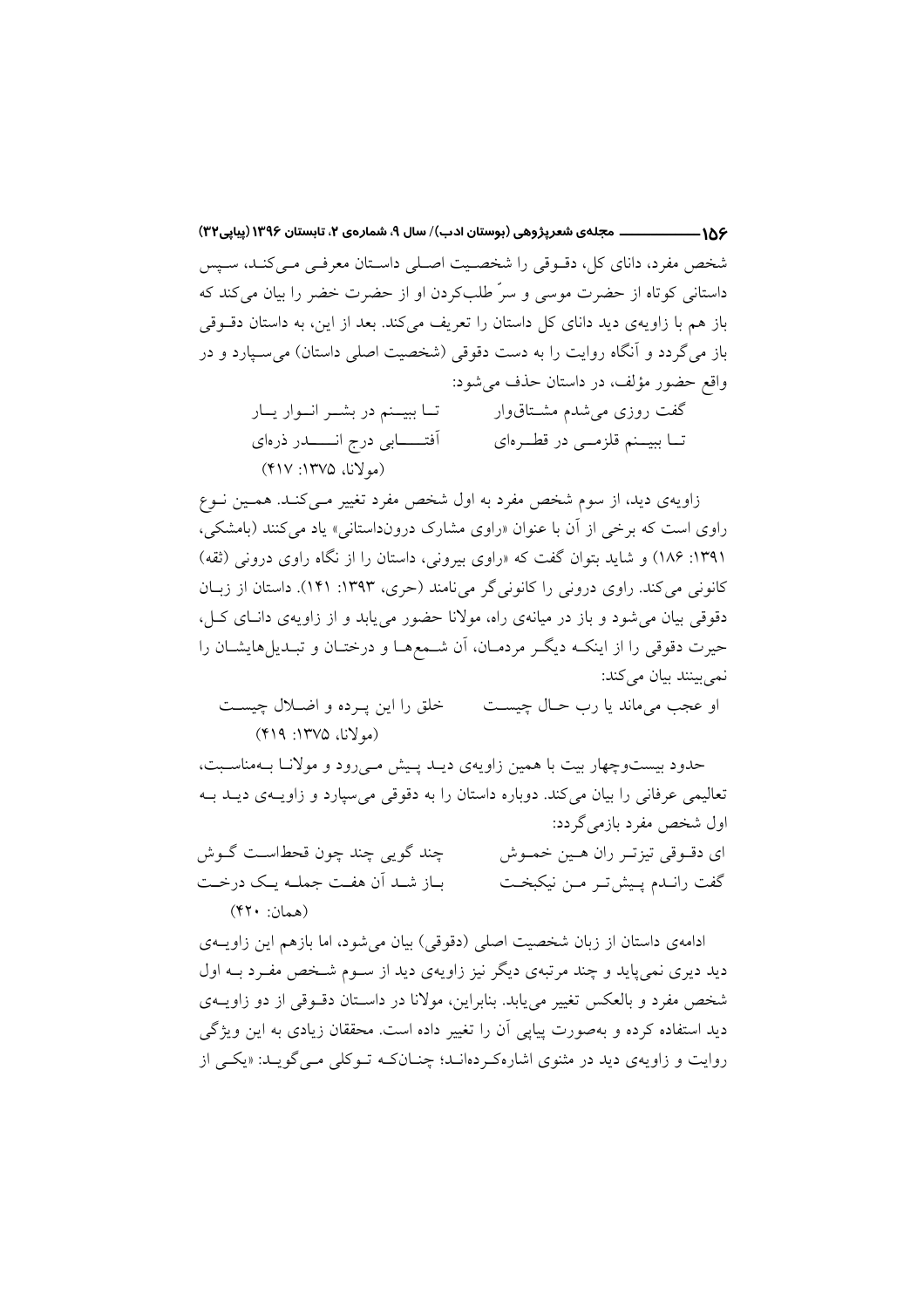۱۵۶———————— مجلهی شعرپژوهی (بوستان ادب)/ سال ۹، شمارهی ۲، تابستان ۱۳۹۶ (پیاپی۲۳) شخص مفرد، دانای کل، دقبوقی را شخصیت اصلی داستان معرفی می کنـد، سـیس داستانی کوتاه از حضرت موسی و سرٌ طلبکردن او از حضرت خضر را بیان میکند که باز هم با زاویهی دید دانای کل داستان را تعریف میکند. بعد از این، به داستان دقوقی باز می گردد و آنگاه روایت را به دست دقوقی (شخصیت اصلی داستان) می سـیارد و در واقع حضور مؤلف، در داستان حذف می شود: گفت روزی می شدم مشـتاقوار تـا ببيــنم در بشــر انــوار يــار أفتـــــــابي درج انـــــــــدر ذرهاي تــا ببيــنم قلزمــي در قطــرهاي (مولانا، ۱۳۷۵: ۴۱۷)

زاویهی دید، از سوم شخص مفرد به اول شخص مفرد تغییر مـی کنـد. همـین نـوع راوي است كه برخي از آن با عنوان «راوي مشارك درونداستاني» ياد مي كنند (بامشكي، ۱۳۹۱: ۱۸۶) و شاید بتوان گفت که «راوی بیرونی، داستان را از نگاه راوی درونی (ثقه) کانونی می کند. راوی درونی را کانونی گر می نامند (حری، ۱۳۹۳: ۱۴۱). داستان از زبـان دقوقی بیان می شود و باز در میانهی راه، مولانا حضور می یابد و از زاویهی دانسای کسل، حیرت دقوقی را از اینکـه دیگـر مردمـان، آن شـمعهـا و درختـان و تبـدیلمهایشـان را نمي بينند بيان مي كند:

خلق را این په ده و اضلال چیست او عجب می ماند یا رب حـال چیسـت  $(Y19:17V0 \omega')$ (مولانا، ۱۳۷۵)

حدود بیستوچهار بیت با همین زاویهی دیـد پـیش مـی رود و مولانـا بـهمناسـبت، تعالیمی عرفانی را بیان می کند. دوباره داستان را به دقوقی می سیارد و زاویـهی دیـد بـه اول شخص مفرد بازمی گردد: چند گوپي چند چون قحطاست گوش ای دقوقی تیزتر ران هین خموش باز شد آن هفت جملـه يـك درخـت گفت رانـدم پـیشتر مـن نیکبخـت  $(51 \cdot j_{\text{halo}})$ 

ادامهی داستان از زبان شخصیت اصلی (دقوقی) بیان می شود، اما بازهم این زاویــهی دید دیری نمیپاید و چند مرتبهی دیگر نیز زاویهی دید از سـوم شـخص مفـرد بــه اول شخص مفرد و بالعکس تغییر می یابد. بنابراین، مولانا در داسـتان دقــوقی از دو زاویــهی دید استفاده کرده و بهصورت پیایی آن را تغییر داده است. محققان زیادی به این ویژگی روایت و زاویهی دید در مثنوی اشارهکردهانـد؛ چنـانکـه تـوکلی مـی گویـد: «یکـی از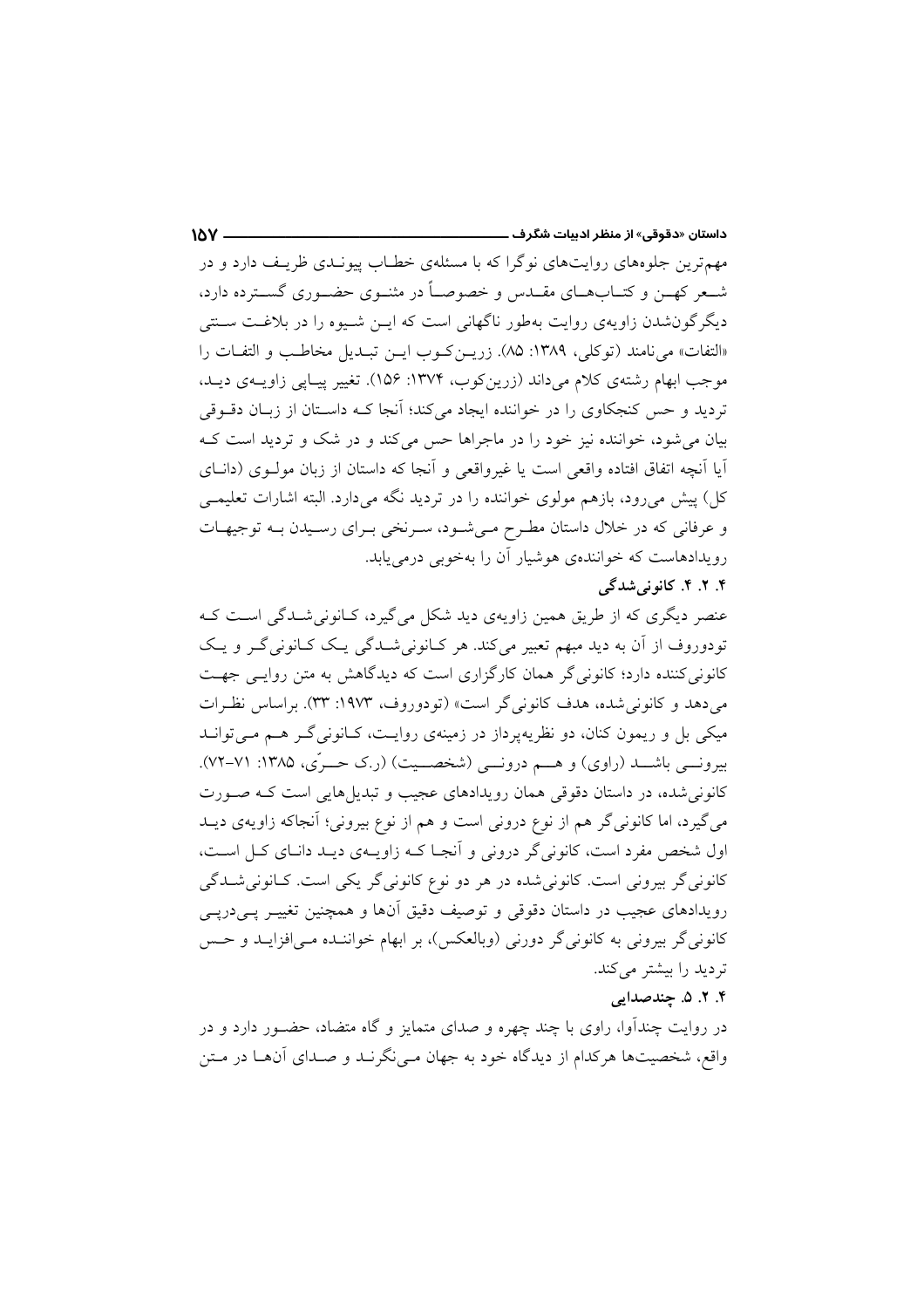مهمترین جلوههای روایتهای نوگرا که با مسئلهی خطـاب پیونـدی ظریـف دارد و در شـعر کهــن و کتــابهــای مقــدس و خصوصــاً در مثنــوی حضــوری گســترده دارد، دیگرگون شدن زاویهی روایت بهطور ناگهانی است که ایــن شــیوه را در بلاغـت ســنتی «التفات» مي نامند (توكلي، ١٣٨٩: ٨۵). زريـن كـوب ايـن تبـديل مخاطـب و التفـات را موجب ابهام رشتهی کلام میداند (زرینکوب، ۱۳۷۴: ۱۵۶). تغییر پیاپی زاویـهی دیـد، تردید و حس کنجکاوی را در خواننده ایجاد میکند؛ آنجا کـه داسـتان از زبـان دقــوقی بیان می شود، خواننده نیز خود را در ماجراها حس می کند و در شک و تردید است ک آيا آنچه اتفاق افتاده واقعي است يا غيرواقعي و آنجا كه داستان از زبان مولـوي (دانــاي کل) پیش میرود، بازهم مولوی خواننده را در تردید نگه میدارد. البته اشارات تعلیمی و عرفانی که در خلال داستان مطـرح مـیشـود، سـرنخی بـرای رسـیدن بــه توجیهـات رویدادهاست که خوانندهی هوشیار آن را بهخوبی درمی یابد.

 $\mathbf{M}$ 

## ۴. ۲. ۴. کانونی شدگی

عنصر دیگری که از طریق همین زاویهی دید شکل می گیرد، کـانونیشـدگی اسـت کـه تودوروف از آن به دید مبهم تعبیر میکند. هر کـانونی شــدگی یـک کـانونی گــر و یـک کانونی کننده دارد؛ کانونی گر همان کارگزاری است که دیدگاهش به متن روایـی جهـت می دهد و کانونی شده، هدف کانونی گر است» (تودوروف، ۱۹۷۳: ۳۳). براساس نظرات میکی بل و ریمون کنان، دو نظریهپرداز در زمینهی روایـت، کـانونی گــر هــم مــیتوانــد بیرونسی باشــد (راوی) و هــم درونسی (شخصــیت) (ر.ک حــرّی، ۱۳۸۵: ۷۱-۷۲). کانونی شده، در داستان دقوقی همان رویدادهای عجیب و تبدیل هایی است کـه صـورت می گیرد، اما کانونی گر هم از نوع درونی است و هم از نوع بیرونی؛ آنجاکه زاویهی دیــد اول شخص مفرد است، کانونی گر درونی و اَنجـا کـه زاویــهی دیـد دانــای کــل اســت، کانونی گر بیرونی است. کانونی شده در هر دو نوع کانونی گر یکی است. کـانونی شــدگی رویدادهای عجیب در داستان دقوقی و توصیف دقیق آنها و همچنین تغییـر یــی(دیــی کانونی گر بیرونی به کانونی گر دورنی (وبالعکس)، بر ابهام خواننـده مـیافزایـد و حـس تردید را بیشتر میکند.

## ۴. ۲. ۵. چندصدایی

در روایت چنداَوا، راوی با چند چهره و صدای متمایز و گاه متضاد، حضـور دارد و در واقع، شخصیتها هرکدام از دیدگاه خود به جهان مـی نگرنــد و صــدای آنهــا در مــتن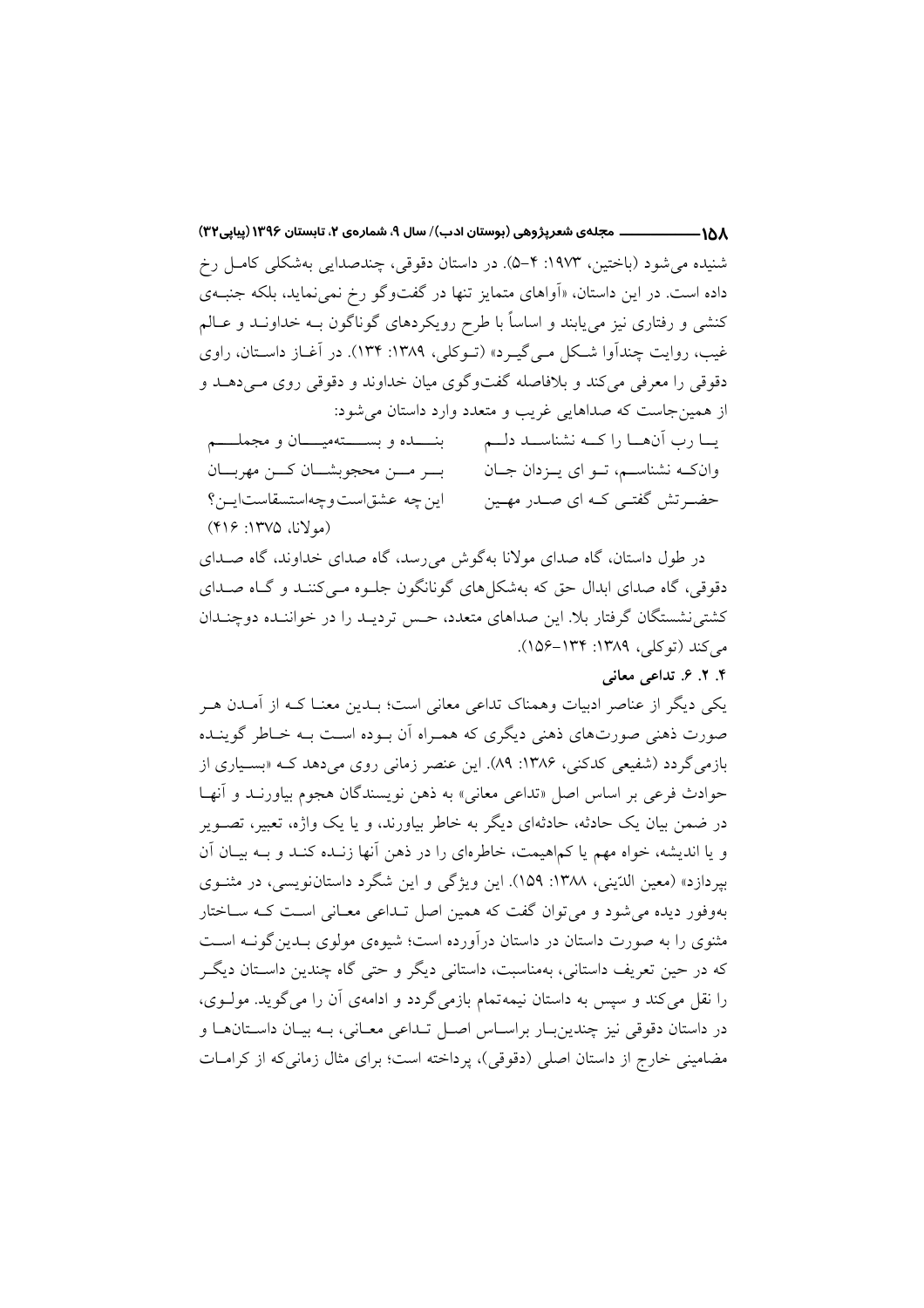16۸——————— مجلهی شعرپژوهی (بوستان ادب)/ سال ۹، شمارهی ۲، تابستان ۱۳۹۶ (پیاپی۲۳) شنیده می شود (باختین، ۱۹۷۳: ۴–۵). در داستان دقوقی، چندصدایی بهشکلی کامـل رخ داده است. در این داستان، «اَواهای متمایز تنها در گفتوگو رخ نمی نماید، بلکه جنبـهی کنشی و رفتاری نیز میbیابند و اساساً با طرح رویکردهای گوناگون بــه خداونــد و عــالـم غیب، روایت چندآوا شکل مےگیرد» (تـوکلی، ۱۳۸۹: ۱۳۴). در آغـاز داسـتان، راوی دقوقی را معرفی می کند و بلافاصله گفتوگوی میان خداوند و دقوقی روی مـی۵هــد و از همین جاست که صداهایی غریب و متعدد وارد داستان می شود:

یسا رب آنهسا را کسه نشناسسد دلسم میشدن و بسسستهمیسسان و مجملسسم وانکـه نشناســم، تــو ای پــزدان جــان بسر مسن محجوبشسان كسن مهربسان ابن چه عشق است و چهاستسقاستایین؟ حضــرتش گفتــی کــه ای صــدر مهــین (مولانا، ۱۳۷۵: ۴۱۶)

در طول داستان، گاه صدای مولانا بهگوش می رسد، گاه صدای خداوند، گاه صـدای دقوقي، گاه صداي ابدال حق كه بهشكل هاي گونانگون جلـوه مـي كننــد و گــاه صــداي کشتی نشستگان گرفتار بلا. این صداهای متعدد، حس تردیـد را در خواننـده دوچنـدان مي کند (تو کلي، ١٣٨٩: ١٣۴–١۵۶).

#### ۴. ۲. ۶. تداعی معانی

یکی دیگر از عناصر ادبیات وهمناک تداعی معانی است؛ بــدین معنــا کــه از آمــدن هــر صورت ذهنی صورتهای ذهنی دیگری که همـراه آن بـوده اسـت بـه خـاطر گوینـده بازمی گردد (شفیعی کدکنی، ۱۳۸۶: ۸۹). این عنصر زمانی روی می دهد کــه «بسـیاری از حوادث فرعي بر اساس اصل «تداعي معاني» به ذهن نويسندگان هجوم بياورنـد و أنهـا در ضمن بیان یک حادثه، حادثهای دیگر به خاطر بیاورند، و یا یک واژه، تعبیر، تصـویر و یا اندیشه، خواه مهم یا کماهیمت، خاطرهای را در ذهن آنها زنـده کنـد و بـه بیـان آن بیردازد» (معین الدّینی، ۱۳۸۸: ۱۵۹). این ویژگی و این شگرد داستاننویسی، در مثنوی بهوفور دیده می شود و می توان گفت که همین اصل تـداعی معـانی اسـت کـه سـاختار مثنوی را به صورت داستان در داستان درآورده است؛ شیوهی مولوی بـدین گونــه اســت که در حین تعریف داستانی، بهمناسبت، داستانی دیگر و حتی گاه چندین داسـتان دیگـر را نقل می کند و سپس به داستان نیمهتمام بازمی گردد و ادامهی آن را می گوید. مولـوی، در داستان دقوقی نیز چندین بار براساس اصل تـداعی معـانی، بـه بیـان داسـتانهـا و مضامینی خارج از داستان اصلی (دقوقی)، پرداخته است؛ برای مثال زمانی که از کرامـات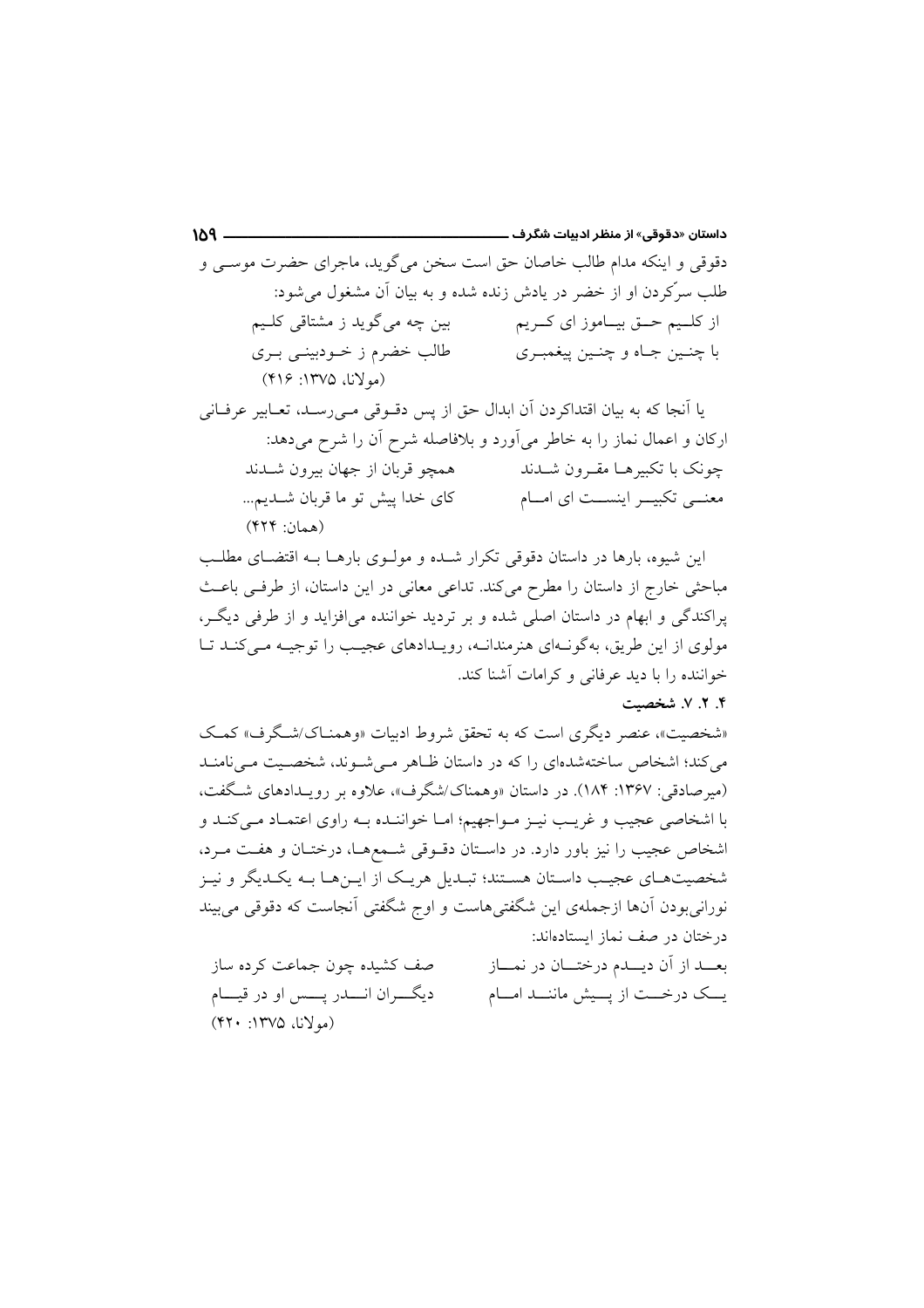داستان «دقوقی» از منظر ادبیات شگرف ــــ  $109$  – دقوقي و اينكه مدام طالب خاصان حق است سخن مي گويد، ماجراي حضرت موســي و طلب سرِّکردن او از خضر در یادش زنده شده و به بیان آن مشغول می شود: بین چه میگوید ز مشتاقی کلـیم از كلـيم حــق بيــاموز اي كــريم طالب خضرم ز خــودبينــي بــرى با چنبن جباه و چنبن پېغمبري (مولانا، ۱۳۷۵: ۴۱۶)

یا اّنجا که به بیان اقتداکردن اّن ابدال حق از پس دقــوقی مــیرســد، تعــابیر عرفــانی ارکان و اعمال نماز را به خاطر میآورد و بلافاصله شرح آن را شرح میدهد: چونک با تکبیرهــا مقــرون شـــدند همچو قربان از جهان بیرون شـدند كاي خدا پيش تو ما قربان شــديم... معنــی تکبیــر اینســت ای امــام (همان: ۴۲۴)

این شیوه، بارها در داستان دقوقی تکرار شـده و مولـوی بارهـا بـه اقتضـای مطلـب مباحثی خارج از داستان را مطرح میکند. تداعی معانی در این داستان، از طرفی باعث پراکندگی و ابهام در داستان اصلی شده و بر تردید خواننده میافزاید و از طرفی دیگر، مولوی از این طریق، بهگونـهای هنرمندانـه، رویـدادهای عجیـب را توجیـه مـیکنـد تـا خواننده را با دید عرفانی و کرامات آشنا کند.

#### ۴. ۲. ۷. شخصیت

«شخصیت»، عنصر دیگری است که به تحقق شروط ادبیات «وهمنیاک/شگرف» کمک می کند؛ اشخاص ساختهشدهای را که در داستان ظباهر می شبوند، شخصیت می نامنید (میرصادقی: ۱۳۶۷: ۱۸۴). در داستان «وهمناک/شگرف»، علاوه بر رویـدادهای شـگفت، با اشخاصی عجیب و غریـب نیـز مـواجهیم؛ امـا خواننـده بـه راوی اعتمـاد مـی کنـد و اشخاص عجیب را نیز باور دارد. در داستان دقـوقی شـمعهـا، درختـان و هفـت مـرد، شخصیتهـای عجیـب داسـتان هسـتند؛ تبـدیل هریـک از ایــنهـا بــه یکــدیگر و نیــز نورانی بودن آنها ازجملهی این شگفتی هاست و اوج شگفتی آنجاست که دقوقی می بیند در ختان در صف نماز ایستادهاند:

بعــد از آن ديــدم درختــان در نمــاز صف کشیده چون جماعت کرده ساز ديگـــران انــــدر پـــس او در قيـــام یــک درخـــت از پـــیش ماننـــد امـــام (مولانا، ۱۳۷۵: ۴۲۰)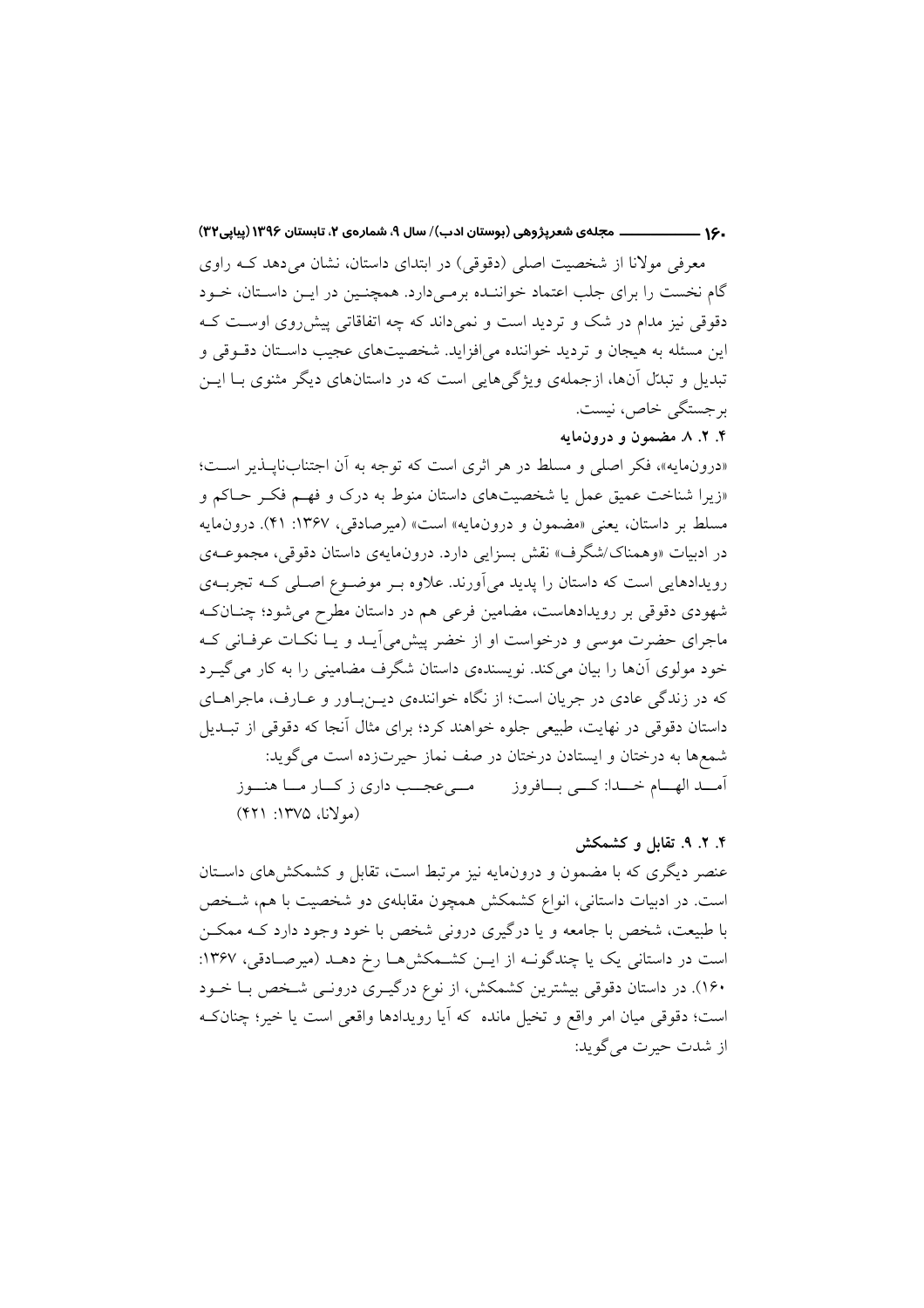.۱۶ ــــــــــــــــــــــــــ مجلهي شعرپژوهي (بوستان ادب)/ سال ۹، شمارهي ۲، تابستان ۱۳۹۶ (پياپي۲۲)

معرفی مولانا از شخصیت اصلی (دقوقی) در ابتدای داستان، نشان می دهد کـه راوی گام نخست را برای جلب اعتماد خواننـده برمـیدارد. همچنـین در ایـن داسـتان، خـود دقوقی نیز مدام در شک و تردید است و نمیداند که چه اتفاقاتی پیش روی اوست ک این مسئله به هیجان و تردید خواننده می افزاید. شخصیتهای عجیب داستان دقوقی و تبدیل و تبدّل آنها، ازجملهی ویژگیهایی است که در داستانهای دیگر مثنوی بـا ایــن برجستگی خاص، نیست.

۴. ۲. ۸. مضمون و درونمایه

«درونِمايه»، فكر اصلي و مسلط در هر اثرى است كه توجه به أن اجتنابِنايــذير اســت؛ «زیرا شناخت عمیق عمل یا شخصیتهای داستان منوط به درک و فهم فکر حاکم و مسلط بر داستان، يعني «مضمون و درونمايه» است» (ميرصادقي، ١٣۶٧: ۴۱). درونمايه در ادبیات «وهمناک/شگرف» نقش بسزایی دارد. درون.ایهی داستان دقوقی، مجموعـهی رویدادهایی است که داستان را پدید میآورند. علاوه بـر موضـوع اصـلی کـه تجربــهی شهودی دقوقی بر رویدادهاست، مضامین فرعی هم در داستان مطرح میشود؛ چنــانکـه ماجرای حضرت موسی و درخواست او از خضر پیش می آیـد و یـا نکـات عرفـانی کـه خود مولوی آنها را بیان میکند. نویسندهی داستان شگرف مضامینی را به کار میگیرد که در زندگی عادی در جریان است؛ از نگاه خوانندهی دیـنباور و عـارف، ماجراهـای داستان دقوقی در نهایت، طبیعی جلوه خواهند کرد؛ برای مثال آنجا که دقوقی از تبـدیل شمعها به درختان و ایستادن درختان در صف نماز حیرتزده است میگوید: اّمـــد الهـــام خـــدا: كـــي بـــافروز مـــيءجـــب داري ز كـــار مـــا هنـــوز (مولانا، ١٣٧۵: ٣٢١)

۴. ۲. ۹. تقابل و کشمکش

عنصر دیگری که با مضمون و درونهایه نیز مرتبط است، تقابل و کشمکشهای داسـتان است. در ادبیات داستانی، انواع کشمکش همچون مقابلهی دو شخصیت با هم، شـخص با طبیعت، شخص با جامعه و یا درگیری درونی شخص با خود وجود دارد کـه ممکــن است در داستانی یک یا چندگونــه از ایــن کشــمکشهــا رخ دهــد (میرصـادقی، ۱۳۶۷: ۱۶۰). در داستان دقوقی بیشترین کشمکش، از نوع درگیـری درونـی شـخص بـا خـود است؛ دقوقی میان امر واقع و تخیل مانده که آیا رویدادها واقعی است یا خیر؛ چنانک از شدت حيرت مي گويد: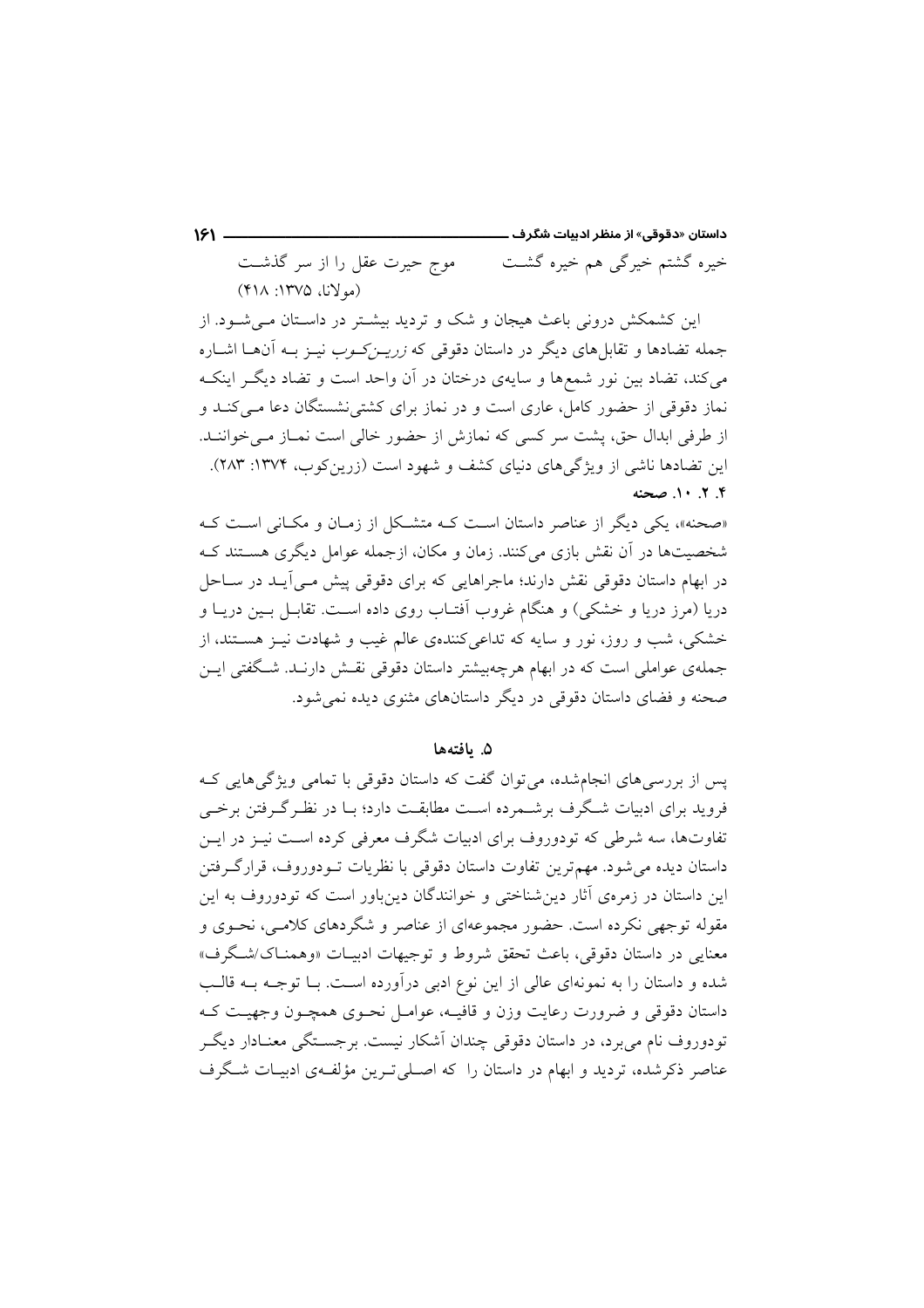#### موج حیرت عقل را از سر گذشت خیرہ گشتم خیرگی ہم خیرہ گشت (مولانا، ١٣٧۵: ۴١٨)

این کشمکش درونی باعث هیجان و شک و تردید بیشـتر در داسـتان مـی شـود. از جمله تضادها و تقابل های دیگر در داستان دقوقی که *زریــز کــوب* نیــز بــه آن۱هــا اشــاره میکند، تضاد بین نور شمعها و سایهی درختان در آن واحد است و تضاد دیگـر اینکـه نماز دقوقی از حضور کامل، عاری است و در نماز برای کشتی نشستگان دعا مـی کنــد و از طرفی ابدال حق، پشت سر کسی که نمازش از حضور خالی است نمـاز مـی خواننـد. این تضادها ناشی از ویژگیهای دنیای کشف و شهود است (زرینکوب، ۱۳۷۴: ۲۸۳). ۴. ۲. ۱۰. صحنه

«صحنه»، یکی دیگر از عناصر داستان است کـه متشکل از زمـان و مکـانی اسـت کـه شخصیتها در آن نقش بازی می کنند. زمان و مکان، ازجمله عوامل دیگری هســتند کــه در ابهام داستان دقوقی نقش دارند؛ ماجراهایی که برای دقوقی پیش مـی]یـد در سـاحل دریا (مرز دریا و خشکی) و هنگام غروب اَفتـاب روی داده اســت. تقابــل بــین دریــا و خشکی، شب و روز، نور و سایه که تداعیکنندهی عالم غیب و شهادت نیـز هسـتند، از جملهی عواملی است که در ابهام هرچهبیشتر داستان دقوقی نقش دارنـد. شـگفتی ایــن صحنه و فضای داستان دقوقی در دیگر داستانهای مثنوی دیده نمی شود.

۵. ىافتەھا

یس از بررسی های انجامشده، می توان گفت که داستان دقوقی با تمامی ویژگی هایی ک فروید برای ادبیات شگرف برشـمرده اسـت مطابقـت دارد؛ بـا در نظـر گـرفتن برخـی تفاوتها، سه شرطی که تودوروف برای ادبیات شگرف معرفی کرده است نیـز در ایــن داستان دیده می شود. مهم ترین تفاوت داستان دقوقی با نظریات تـودوروف، قرارگـرفتن این داستان در زمرهی آثار دین شناختی و خوانندگان دینباور است که تودوروف به این مقوله توجهی نکرده است. حضور مجموعهای از عناصر و شگردهای کلامـی، نحـوی و معنایی در داستان دقوقی، باعث تحقق شروط و توجیهات ادبیـات «وهمنـاک/شـگرف» شده و داستان را به نمونهای عالی از این نوع ادبی درآورده است. بـا توجـه بــه قالـب داستان دقوقی و ضرورت رعایت وزن و قافیــه، عوامــل نحــوی همچــون وجهیــت کــه تودوروف نام می برد، در داستان دقوقی چندان اَشکار نیست. برجســتگی معنــادار دیگــر عناصر ذکرشده، تردید و ابهام در داستان را که اصلی تـرین مؤلفـهی ادبیـات شـگرف

 $151 -$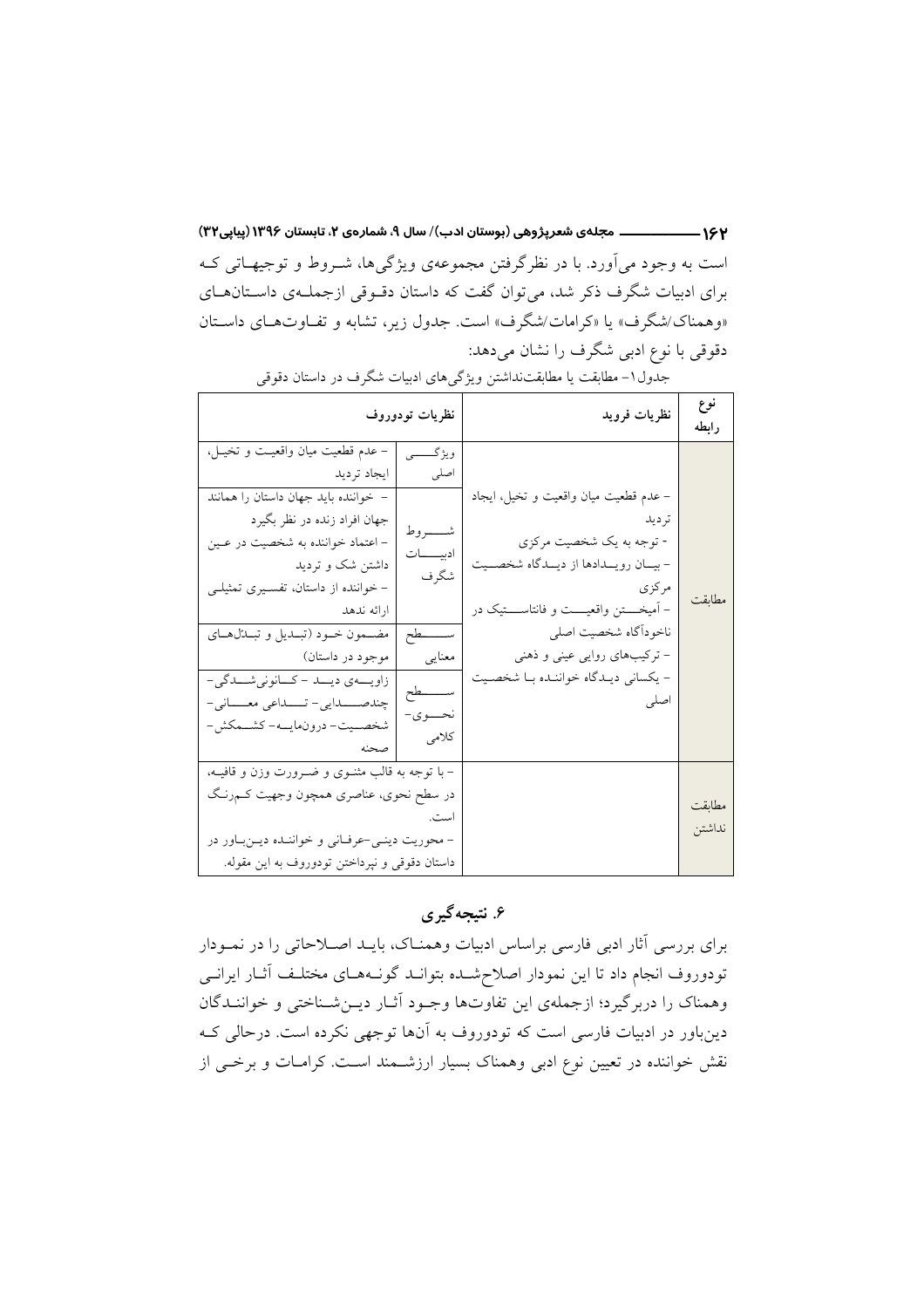است به وجود می آورد. با در نظرِگرفتن مجموعهی ویژگیها، شــروط و توجیهــاتی کــه برای ادبیات شگرف ذکر شد، می توان گفت که داستان دقوقی ازجملهی داستان های «وهمناک/شگرف» یا «کرامات/شگرف» است. جدول زیر، تشابه و تفاوتهای داستان دقوقی با نوع ادبی شگرف را نشان میدهد:

| نوع              | نظريات فرويد                                                                                                                                                                                                                                                                          | نظريات تودوروف                                                                                                           |                                                                                                                                                                                                                                                                                                                                                                                                               |  |
|------------------|---------------------------------------------------------------------------------------------------------------------------------------------------------------------------------------------------------------------------------------------------------------------------------------|--------------------------------------------------------------------------------------------------------------------------|---------------------------------------------------------------------------------------------------------------------------------------------------------------------------------------------------------------------------------------------------------------------------------------------------------------------------------------------------------------------------------------------------------------|--|
| رابطه<br>مطابقت  | – عدم قطعیت میان واقعیت و تخیل، ایجاد<br>تر دید<br>- توجه به یک شخصیت مرکزی<br>- بيــان رويـــدادها از ديـــدگاه شخصـــيت<br>مركزي<br>- آميخـــتن واقعيـــت وفانتاســـتيک در<br>ناخوداًگاه شخصيت اصلى<br>- ترکیبهای روایی عینی و ذهنی<br>- يكساني ديـدگاه خواننـده بـا شخصـيت<br>اصلى | ويژگـــــــي<br>اصلى<br>شـــــــــروط<br>ادبيسسات<br>شگرف<br>ســــــــطح<br>معنايي<br>ســــــــطح<br>نحـــــوی-<br>كلامى | – عدم قطعيت ميان واقعيـت و تخيــل،<br>  ايجاد ترديد<br>- خواننده بايد جهان داستان را همانند<br>جهان افراد زنده در نظر بگيرد<br>- اعتماد خواننده به شخصیت در عـین<br>داشتن شک و تردید<br>- خواننده از داستان، تفسـيري تمثيلـي<br>ارائه ندهد<br>مضمون خود (تبلديل و تبلتلهاي<br>  موجود در داستان)<br>زاویهی دیلد - کانونی شملگی-<br>چندصـــدایی-تـــداعی معـــانی-<br>شخصــيت- درون.مايـــه- كشـــمكش-<br>صحنه |  |
| مطابقت<br>نداشتن |                                                                                                                                                                                                                                                                                       | است.                                                                                                                     | – با توجه به قالب مثنــوی و ضـــرورت وزن و قافیــه،<br>در سطح نحوي، عناصري همچون وجهيت كــم,رنـگ<br>- محوریت دینـی-عرفـانی و خواننـده دیـنبـاور در<br>داستان دقوقی و نپرداختن تودوروف به این مقوله.                                                                                                                                                                                                           |  |

جدول ١- مطابقت يا مطابقتنداشتن ويژگيهاي ادبيات شگرف در داستان دقوقي

# ۶. نتیجه گیری

برای بررسی آثار ادبی فارسی براساس ادبیات وهمناک، بایـد اصـلاحاتی را در نمـودار تودوروف انجام داد تا این نمودار اصلاح شـده بتوانـد گونـههـای مختلـف آثـار ایرانـی وهمناک را دربرگیرد؛ ازجملهی این تفاوتها وجـود آثـار دیــنشــناختی و خواننــدگان دینباور در ادبیات فارسی است که تودوروف به آنها توجهی نکرده است. درحالی ک نقش خواننده در تعیین نوع ادبی وهمناک بسیار ارزشمند است. کرامات و برخی از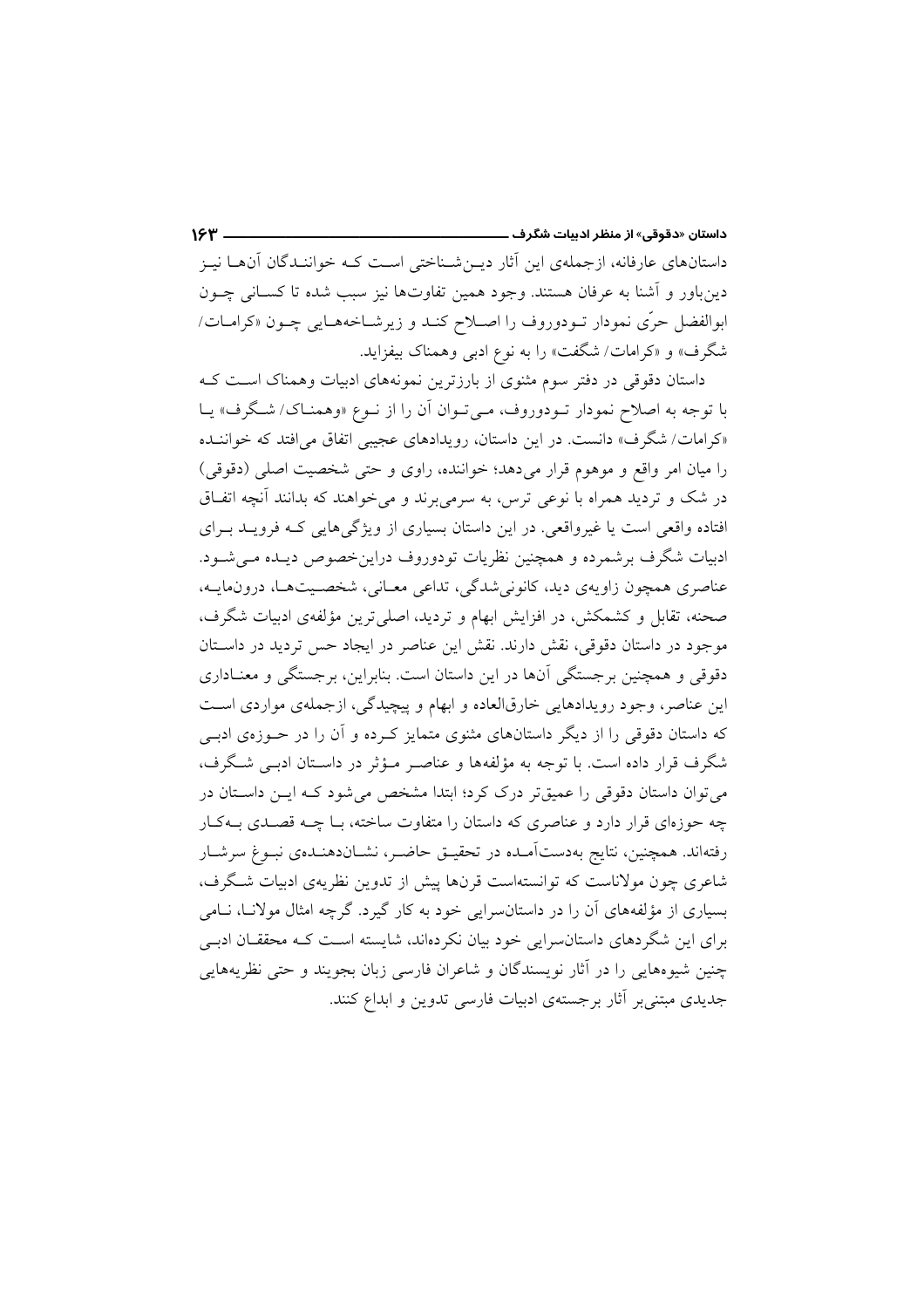داستانهای عارفانه، ازجملهی این آثار دیـنشـناختی اسـت کـه خواننـدگان آنهـا نیـز دینباور و آشنا به عرفان هستند. وجود همین تفاوتها نیز سبب شده تا کسـانی چــون ابوالفضل حرّی نمودار تـودوروف را اصـلاح کنـد و زیرشـاخههـایی چـون «کرامـات/ شگرف» و «کرامات/ شگفت» را به نوع ادبی وهمناک بیفزاید.

داستان دقوقی در دفتر سوم مثنوی از بارزترین نمونههای ادبیات وهمناک است ک با توجه به اصلاح نمودار تـودوروف، مـىتـوان أن را از نـوع «وهمنـاك/ شـگرف» يـا «کرامات/ شگرف» دانست. در این داستان، رویدادهای عجیبی اتفاق می افتد که خواننـده را ميان امر واقع و موهوم قرار مي دهد؛ خواننده، راوي و حتى شخصيت اصلى (دقوقى) در شک و تردید همراه با نوعی ترس، به سرمیبرند و میخواهند که بدانند آنچه اتفاق افتاده واقعی است یا غیرواقعی. در این داستان بسیاری از ویژگیهایی که فرویـد بـرای ادبیات شگرف برشمرده و همچنین نظریات تودوروف دراین خصوص دیـده مـی شـود. عناصري همچون زاويهي ديد، كانوني شدگي، تداعي معـاني، شخصـيتهـا، درونمايــه، صحنه، تقابل و کشمکش، در افزایش ابهام و تردید، اصلی ترین مؤلفهی ادبیات شگرف، موجود در داستان دقوقی، نقش دارند. نقش این عناصر در ایجاد حس تردید در داسـتان دقوقی و همچنین برجستگی آنها در این داستان است. بنابراین، برجستگی و معنـاداری این عناصر، وجود رویدادهایی خارقالعاده و ابهام و پیچیدگی، ازجملهی مواردی است که داستان دقوقی را از دیگر داستانهای مثنوی متمایز کـرده و آن را در حـوزهی ادبـی شگرف قرار داده است. با توجه به مؤلفهها و عناصه مو ثر در داستان ادبسی شگرف، می توان داستان دقوقی را عمیقتر درک کرد؛ ابتدا مشخص می شود کـه ایــن داسـتان در چه حوزهای قرار دارد و عناصری که داستان را متفاوت ساخته، بـا چــه قصــدی بــهکــار رفتهاند. همچنین، نتایج بهدستآمـده در تحقیــق حاضــر، نشــان(هنــدهی نبــوغ سرشــار شاعری چون مولاناست که توانستهاست قرنها پیش از تدوین نظریهی ادبیات شگرف، بسیاری از مؤلفههای آن را در داستانسرایی خود به کار گیرد. گرچه امثال مولانـا، نــامی برای این شگردهای داستانسرایی خود بیان نکردهاند، شایسته است کـه محققـان ادبـی چنین شیوههایی را در آثار نویسندگان و شاعران فارسی زبان بجویند و حتی نظریههایی جدیدی مبتنی بر آثار برجستهی ادبیات فارسی تدوین و ابداع کنند.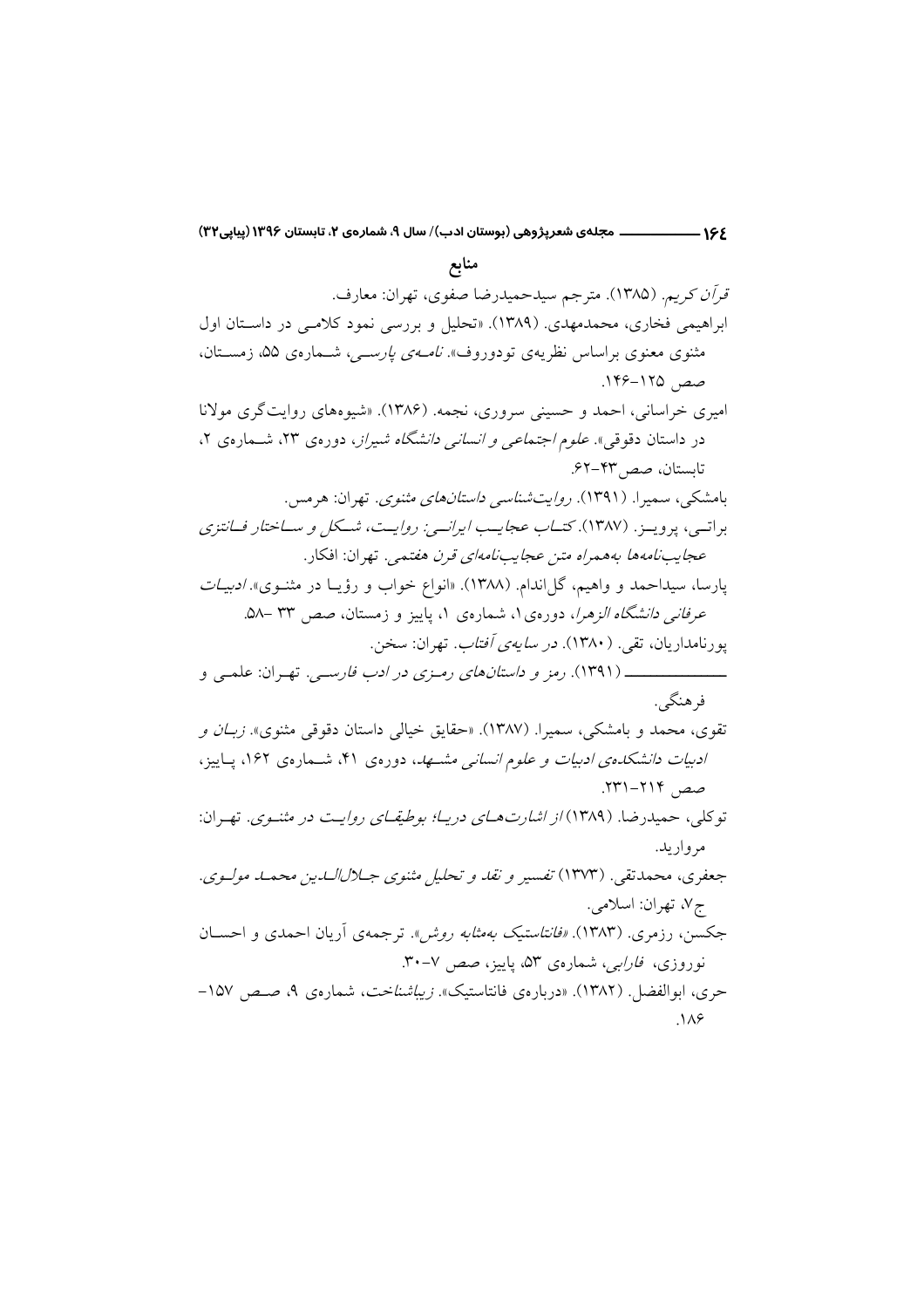۱۶۶ ــــــــــــــــــــ مجلهي شعرپژوهي (بوستان ادب)/ سال ۹، شمارهي ۲، تابستان ۱۳۹۶ (پیاپی۳۲)

منابع قر*آن کریم.* (۱۳۸۵). مترجم سیدحمیدرضا صفوی، تهران: معارف. ابراهیمی فخاری، محمدمهدی. (۱۳۸۹). «تحلیل و بررسی نمود کلامبی در داستان اول مثنوی معنوی براساس نظریهی تودوروف». *نامهی پارسی،* شمارهی ۵۵، زمستان، صص ۱۲۵–۱۴۶. امیری خراسانی، احمد و حسینی سروری، نجمه. (۱۳۸۶). «شیوههای روایتگری مولانا در داستان دقوقی». *علوم اجتماعی و انسانی دانشگاه شیراز*، دورهی ۲۳، شــمارهی ۲، تابستان، صص ۴۳-۶۲. بامشکی، سمیرا. (۱۳۹۱). *روایتشناسی داستانهای مثنوی*. تهران: هرمس. براتسي، پرويــز. (۱۳۸۷). كت*ــاب عجايــب ايرانسي: روايــت، شــكل و ســاختار فــانتزي* عج*ایب نامه ها به همراه متن عجایب نامهای قرن هفت*مه . تهران: افکار . یارسا، سیداحمد و واهیم، گلlندام. (۱۳۸۸). «انواع خواب و رؤیـا در مثنــوی» *ادبیــات* عرفانی دانشگاه الزهرا، دورهی ۱، شمارهی ۱، پاییز و زمستان، صص ۳۳ –۵۸. یو د نامدار پان، تقی . ( ۱۳۸۰). در *سابهی آفتاب*. تهران: سخن. فرهنگے ِ. تقوی، محمد و بامشکی، سمیرا. (۱۳۸۷). «حقایق خیالی داستان دقوقی مثنوی». *زبـان و* ادبیات دانشکدهی ادبیات و علوم انسانی مشهد، دورهی ۴۱، شمارهی ۱۶۲، پاییز، صص ۲۱۴–۲۳۱. توكلي، حميدرضا. (۱۳۸۹) *از اشارت هــاي دريــا؛ بوطيقــاي روايــت در مثنــوي*. تهـران: مر واريد. جعفري، محمدتقي. (١٣٧٣) تفسير و نقد و تحليل مثنوي جـلالالدين محمـد مولـوي. ج۷، تهران: اسلامي. جکسن، رزمری. (۱۳۸۳). *«فانتاستیک بهمثابه روش*». ترجمهی آریان احمدی و احســان نوروزي، *فارايي،* شمارهي ۵۳، پاييز، صص ۷-۳۰. حري، ابوالفضل ( ١٣٨٢). «درباروي فانتاستيك». *زيباشناخت*، شماروي ٩، صص ١٥٧- $\Lambda$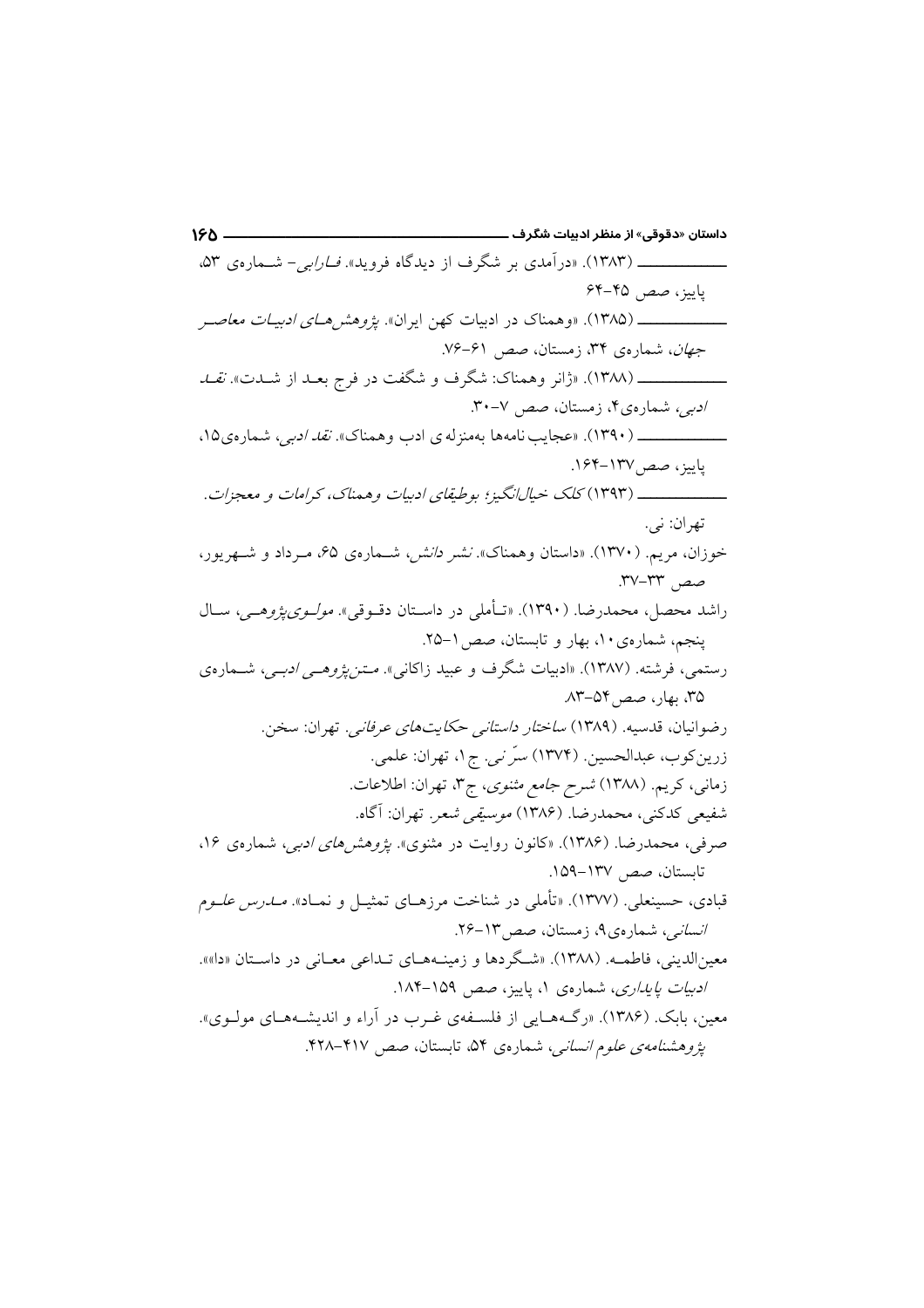داستان «دقوقی» از منظر ادبیات شگرف ـــــــ  $150 -$ \_\_\_\_\_\_\_\_\_\_\_\_\_\_\_\_ (۱۳۸۳). «درآمدی بر شگرف از دیدگاه فروید». *فــارابی*- شــمارهی ۵۳، ياييز، صص ۴۵-۶۴ جهان، شمارهی ۳۴، زمستان، صص ۶۱-۷۶. /دیبی، شمارهی۴، زمستان، صص ۷-۳۰. ياييز، صص ١٣٧-١۶۴. \_\_\_\_\_\_\_\_\_\_\_\_ (۱۳۹۳) کلک خیالِانگیز؛ بوطیقای ادبیات وهمناک، کرامات و معجزات. تهران: نی. خوزان، مریم. (۱۳۷۰). «داستان وهمناک». *نشر دانش،* شهارهی ۶۵، میرداد و شبهریور، صص ٣٣-٣٧. راشد محصل، محمدرضا. (۱۳۹۰). «تـأملي در داسـتان دقــوقي». *مولــوي يژوهــي،* ســال ينجم، شمارهي ١٠، بهار و تابستان، صص ١-٢۵. رستمی، فرشته. (۱۳۸۷). «ادبیات شگرف و عبید زاکانی». *مــتن یژوهــی ادبــی*، شــمارهی ۳۵، بهار، صص۱۳-۸۳. رضوانيان، قدسيه. (١٣٨٩) *ساختار داستاني حكايت هاي عرفاني.* تهران: سخن. زرين كوب، عبدالحسين. (١٣٧٤) سرَ ني. ج١، تهران: علمي. زمانی، کریم. (۱۳۸۸) *شرح جامع مثنوی*، ج۳، تهران: اطلاعات. شفيعي كدكني، محمدرضا. (۱۳۸۶) *موسيقي شعر*. تهران: آگاه. صرفی، محمدرضا. (۱۳۸۶). «کانون روایت در مثنوی». *یژوهشرهای ادبی،* شمارهی ۱۶، تابستان، صص ١٣٧-١٥٩. قبادی، حسینعلی<sub>،</sub> ۱۳۷۷). «تأمل<sub>ی</sub> در شناخت مرزهـای تمثیـل و نمـاد». *مــدرس علــوم* /نس*انی،* شمارهی۹، زمستان، صص۳-۲۶. معین|لدینی، فاطمـه. (۱۳۸۸). «شگردها و زمینـههـای تـداعی معـانی در داسـتان «دا»». /دبی*ات یایداری*، شمارهی ۱، پاییز، صص ۱۵۹–۱۸۴. معین، بابک. (۱۳۸۶). «رگ&هایی از فلسـفهی غـرب در آراء و اندیشـههـای مولـوی». یژوهشنامه *ی علوم انسانی،* شماره ی ۵۴، تابستان، صص ۴۱۷–۴۲۸.